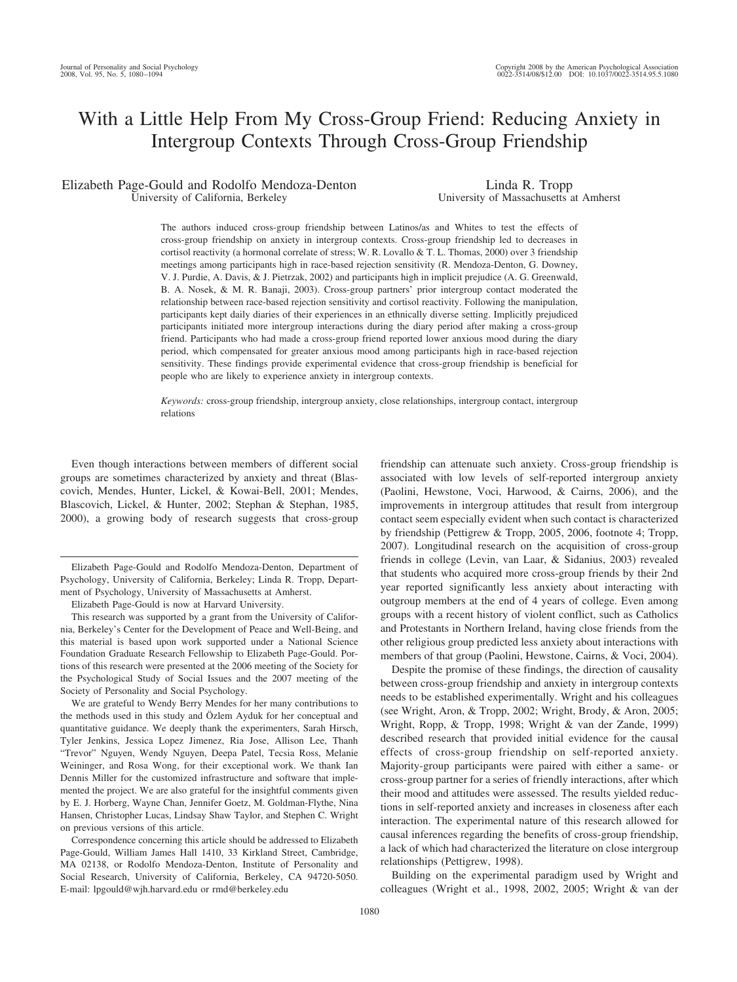# With a Little Help From My Cross-Group Friend: Reducing Anxiety in Intergroup Contexts Through Cross-Group Friendship

# Elizabeth Page-Gould and Rodolfo Mendoza-Denton University of California, Berkeley

Linda R. Tropp University of Massachusetts at Amherst

The authors induced cross-group friendship between Latinos/as and Whites to test the effects of cross-group friendship on anxiety in intergroup contexts. Cross-group friendship led to decreases in cortisol reactivity (a hormonal correlate of stress; W. R. Lovallo & T. L. Thomas, 2000) over 3 friendship meetings among participants high in race-based rejection sensitivity (R. Mendoza-Denton, G. Downey, V. J. Purdie, A. Davis, & J. Pietrzak, 2002) and participants high in implicit prejudice (A. G. Greenwald, B. A. Nosek, & M. R. Banaji, 2003). Cross-group partners' prior intergroup contact moderated the relationship between race-based rejection sensitivity and cortisol reactivity. Following the manipulation, participants kept daily diaries of their experiences in an ethnically diverse setting. Implicitly prejudiced participants initiated more intergroup interactions during the diary period after making a cross-group friend. Participants who had made a cross-group friend reported lower anxious mood during the diary period, which compensated for greater anxious mood among participants high in race-based rejection sensitivity. These findings provide experimental evidence that cross-group friendship is beneficial for people who are likely to experience anxiety in intergroup contexts.

*Keywords:* cross-group friendship, intergroup anxiety, close relationships, intergroup contact, intergroup relations

Even though interactions between members of different social groups are sometimes characterized by anxiety and threat (Blascovich, Mendes, Hunter, Lickel, & Kowai-Bell, 2001; Mendes, Blascovich, Lickel, & Hunter, 2002; Stephan & Stephan, 1985, 2000), a growing body of research suggests that cross-group

We are grateful to Wendy Berry Mendes for her many contributions to the methods used in this study and Özlem Ayduk for her conceptual and quantitative guidance. We deeply thank the experimenters, Sarah Hirsch, Tyler Jenkins, Jessica Lopez Jimenez, Ria Jose, Allison Lee, Thanh "Trevor" Nguyen, Wendy Nguyen, Deepa Patel, Tecsia Ross, Melanie Weininger, and Rosa Wong, for their exceptional work. We thank Ian Dennis Miller for the customized infrastructure and software that implemented the project. We are also grateful for the insightful comments given by E. J. Horberg, Wayne Chan, Jennifer Goetz, M. Goldman-Flythe, Nina Hansen, Christopher Lucas, Lindsay Shaw Taylor, and Stephen C. Wright on previous versions of this article.

Correspondence concerning this article should be addressed to Elizabeth Page-Gould, William James Hall 1410, 33 Kirkland Street, Cambridge, MA 02138, or Rodolfo Mendoza-Denton, Institute of Personality and Social Research, University of California, Berkeley, CA 94720-5050. E-mail: lpgould@wjh.harvard.edu or rmd@berkeley.edu

friendship can attenuate such anxiety. Cross-group friendship is associated with low levels of self-reported intergroup anxiety (Paolini, Hewstone, Voci, Harwood, & Cairns, 2006), and the improvements in intergroup attitudes that result from intergroup contact seem especially evident when such contact is characterized by friendship (Pettigrew & Tropp, 2005, 2006, footnote 4; Tropp, 2007). Longitudinal research on the acquisition of cross-group friends in college (Levin, van Laar, & Sidanius, 2003) revealed that students who acquired more cross-group friends by their 2nd year reported significantly less anxiety about interacting with outgroup members at the end of 4 years of college. Even among groups with a recent history of violent conflict, such as Catholics and Protestants in Northern Ireland, having close friends from the other religious group predicted less anxiety about interactions with members of that group (Paolini, Hewstone, Cairns, & Voci, 2004).

Despite the promise of these findings, the direction of causality between cross-group friendship and anxiety in intergroup contexts needs to be established experimentally. Wright and his colleagues (see Wright, Aron, & Tropp, 2002; Wright, Brody, & Aron, 2005; Wright, Ropp, & Tropp, 1998; Wright & van der Zande, 1999) described research that provided initial evidence for the causal effects of cross-group friendship on self-reported anxiety. Majority-group participants were paired with either a same- or cross-group partner for a series of friendly interactions, after which their mood and attitudes were assessed. The results yielded reductions in self-reported anxiety and increases in closeness after each interaction. The experimental nature of this research allowed for causal inferences regarding the benefits of cross-group friendship, a lack of which had characterized the literature on close intergroup relationships (Pettigrew, 1998).

Building on the experimental paradigm used by Wright and colleagues (Wright et al., 1998, 2002, 2005; Wright & van der

Elizabeth Page-Gould and Rodolfo Mendoza-Denton, Department of Psychology, University of California, Berkeley; Linda R. Tropp, Department of Psychology, University of Massachusetts at Amherst.

Elizabeth Page-Gould is now at Harvard University.

This research was supported by a grant from the University of California, Berkeley's Center for the Development of Peace and Well-Being, and this material is based upon work supported under a National Science Foundation Graduate Research Fellowship to Elizabeth Page-Gould. Portions of this research were presented at the 2006 meeting of the Society for the Psychological Study of Social Issues and the 2007 meeting of the Society of Personality and Social Psychology.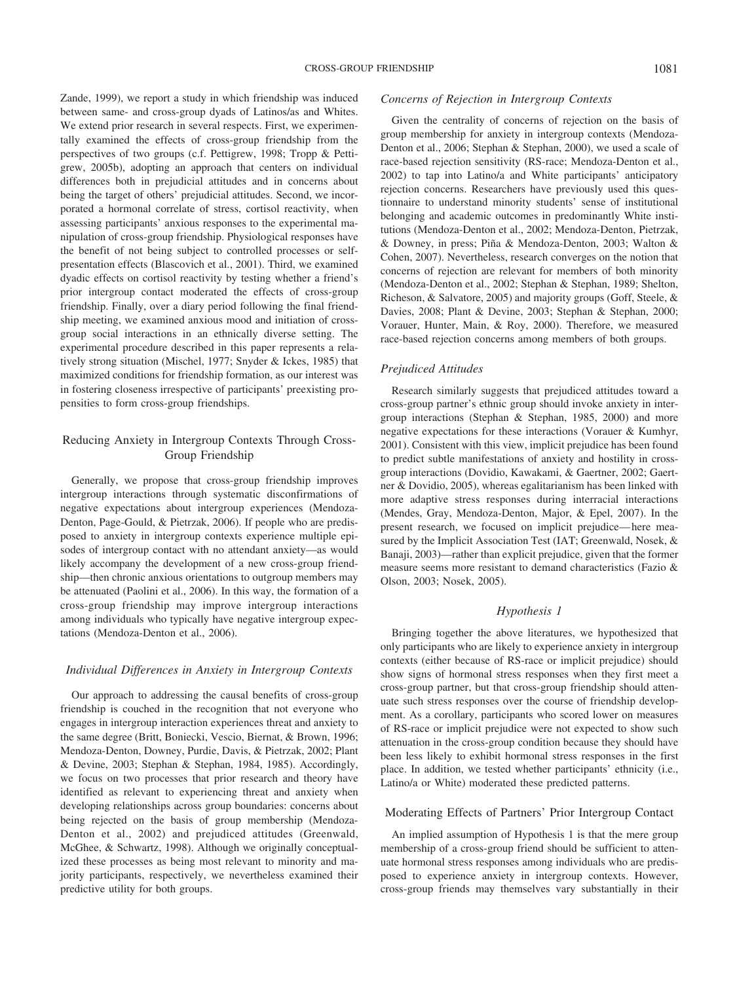Zande, 1999), we report a study in which friendship was induced between same- and cross-group dyads of Latinos/as and Whites. We extend prior research in several respects. First, we experimentally examined the effects of cross-group friendship from the perspectives of two groups (c.f. Pettigrew, 1998; Tropp & Pettigrew, 2005b), adopting an approach that centers on individual differences both in prejudicial attitudes and in concerns about being the target of others' prejudicial attitudes. Second, we incorporated a hormonal correlate of stress, cortisol reactivity, when assessing participants' anxious responses to the experimental manipulation of cross-group friendship. Physiological responses have the benefit of not being subject to controlled processes or selfpresentation effects (Blascovich et al., 2001). Third, we examined dyadic effects on cortisol reactivity by testing whether a friend's prior intergroup contact moderated the effects of cross-group friendship. Finally, over a diary period following the final friendship meeting, we examined anxious mood and initiation of crossgroup social interactions in an ethnically diverse setting. The experimental procedure described in this paper represents a relatively strong situation (Mischel, 1977; Snyder & Ickes, 1985) that maximized conditions for friendship formation, as our interest was in fostering closeness irrespective of participants' preexisting propensities to form cross-group friendships.

# Reducing Anxiety in Intergroup Contexts Through Cross-Group Friendship

Generally, we propose that cross-group friendship improves intergroup interactions through systematic disconfirmations of negative expectations about intergroup experiences (Mendoza-Denton, Page-Gould, & Pietrzak, 2006). If people who are predisposed to anxiety in intergroup contexts experience multiple episodes of intergroup contact with no attendant anxiety—as would likely accompany the development of a new cross-group friendship—then chronic anxious orientations to outgroup members may be attenuated (Paolini et al., 2006). In this way, the formation of a cross-group friendship may improve intergroup interactions among individuals who typically have negative intergroup expectations (Mendoza-Denton et al., 2006).

## *Individual Differences in Anxiety in Intergroup Contexts*

Our approach to addressing the causal benefits of cross-group friendship is couched in the recognition that not everyone who engages in intergroup interaction experiences threat and anxiety to the same degree (Britt, Boniecki, Vescio, Biernat, & Brown, 1996; Mendoza-Denton, Downey, Purdie, Davis, & Pietrzak, 2002; Plant & Devine, 2003; Stephan & Stephan, 1984, 1985). Accordingly, we focus on two processes that prior research and theory have identified as relevant to experiencing threat and anxiety when developing relationships across group boundaries: concerns about being rejected on the basis of group membership (Mendoza-Denton et al., 2002) and prejudiced attitudes (Greenwald, McGhee, & Schwartz, 1998). Although we originally conceptualized these processes as being most relevant to minority and majority participants, respectively, we nevertheless examined their predictive utility for both groups.

#### *Concerns of Rejection in Intergroup Contexts*

Given the centrality of concerns of rejection on the basis of group membership for anxiety in intergroup contexts (Mendoza-Denton et al., 2006; Stephan & Stephan, 2000), we used a scale of race-based rejection sensitivity (RS-race; Mendoza-Denton et al., 2002) to tap into Latino/a and White participants' anticipatory rejection concerns. Researchers have previously used this questionnaire to understand minority students' sense of institutional belonging and academic outcomes in predominantly White institutions (Mendoza-Denton et al., 2002; Mendoza-Denton, Pietrzak, & Downey, in press; Piña & Mendoza-Denton, 2003; Walton & Cohen, 2007). Nevertheless, research converges on the notion that concerns of rejection are relevant for members of both minority (Mendoza-Denton et al., 2002; Stephan & Stephan, 1989; Shelton, Richeson, & Salvatore, 2005) and majority groups (Goff, Steele, & Davies, 2008; Plant & Devine, 2003; Stephan & Stephan, 2000; Vorauer, Hunter, Main, & Roy, 2000). Therefore, we measured race-based rejection concerns among members of both groups.

### *Prejudiced Attitudes*

Research similarly suggests that prejudiced attitudes toward a cross-group partner's ethnic group should invoke anxiety in intergroup interactions (Stephan & Stephan, 1985, 2000) and more negative expectations for these interactions (Vorauer & Kumhyr, 2001). Consistent with this view, implicit prejudice has been found to predict subtle manifestations of anxiety and hostility in crossgroup interactions (Dovidio, Kawakami, & Gaertner, 2002; Gaertner & Dovidio, 2005), whereas egalitarianism has been linked with more adaptive stress responses during interracial interactions (Mendes, Gray, Mendoza-Denton, Major, & Epel, 2007). In the present research, we focused on implicit prejudice—here measured by the Implicit Association Test (IAT; Greenwald, Nosek, & Banaji, 2003)—rather than explicit prejudice, given that the former measure seems more resistant to demand characteristics (Fazio & Olson, 2003; Nosek, 2005).

# *Hypothesis 1*

Bringing together the above literatures, we hypothesized that only participants who are likely to experience anxiety in intergroup contexts (either because of RS-race or implicit prejudice) should show signs of hormonal stress responses when they first meet a cross-group partner, but that cross-group friendship should attenuate such stress responses over the course of friendship development. As a corollary, participants who scored lower on measures of RS-race or implicit prejudice were not expected to show such attenuation in the cross-group condition because they should have been less likely to exhibit hormonal stress responses in the first place. In addition, we tested whether participants' ethnicity (i.e., Latino/a or White) moderated these predicted patterns.

#### Moderating Effects of Partners' Prior Intergroup Contact

An implied assumption of Hypothesis 1 is that the mere group membership of a cross-group friend should be sufficient to attenuate hormonal stress responses among individuals who are predisposed to experience anxiety in intergroup contexts. However, cross-group friends may themselves vary substantially in their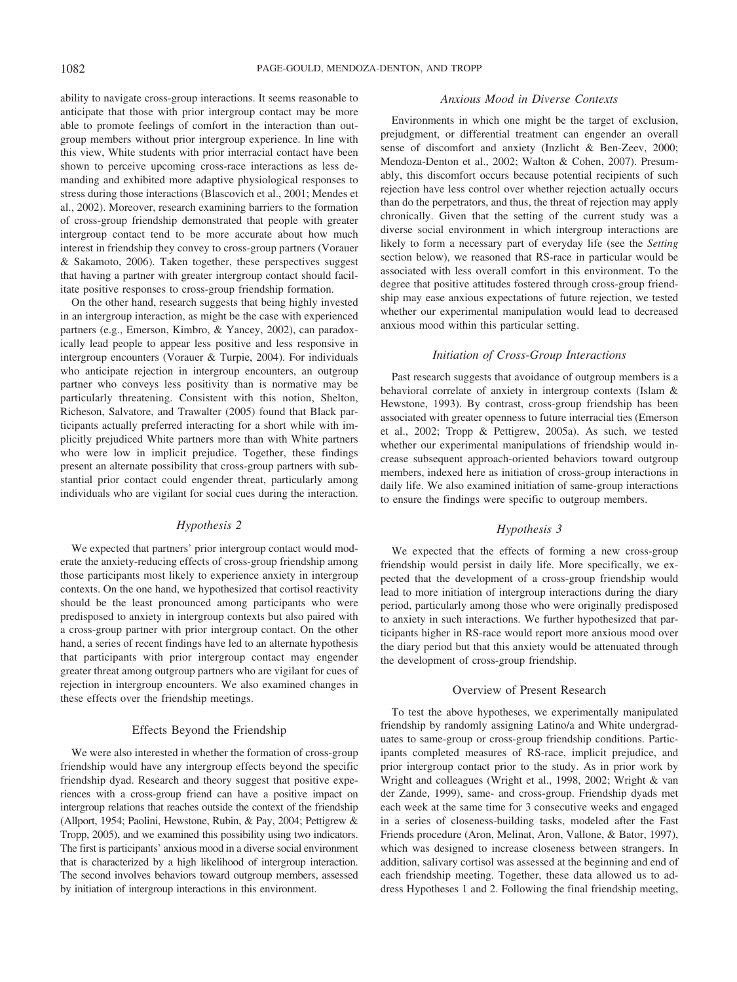ability to navigate cross-group interactions. It seems reasonable to anticipate that those with prior intergroup contact may be more able to promote feelings of comfort in the interaction than outgroup members without prior intergroup experience. In line with this view, White students with prior interracial contact have been shown to perceive upcoming cross-race interactions as less demanding and exhibited more adaptive physiological responses to stress during those interactions (Blascovich et al., 2001; Mendes et al., 2002). Moreover, research examining barriers to the formation of cross-group friendship demonstrated that people with greater intergroup contact tend to be more accurate about how much interest in friendship they convey to cross-group partners (Vorauer & Sakamoto, 2006). Taken together, these perspectives suggest that having a partner with greater intergroup contact should facilitate positive responses to cross-group friendship formation.

On the other hand, research suggests that being highly invested in an intergroup interaction, as might be the case with experienced partners (e.g., Emerson, Kimbro, & Yancey, 2002), can paradoxically lead people to appear less positive and less responsive in intergroup encounters (Vorauer & Turpie, 2004). For individuals who anticipate rejection in intergroup encounters, an outgroup partner who conveys less positivity than is normative may be particularly threatening. Consistent with this notion, Shelton, Richeson, Salvatore, and Trawalter (2005) found that Black participants actually preferred interacting for a short while with implicitly prejudiced White partners more than with White partners who were low in implicit prejudice. Together, these findings present an alternate possibility that cross-group partners with substantial prior contact could engender threat, particularly among individuals who are vigilant for social cues during the interaction.

## *Hypothesis 2*

We expected that partners' prior intergroup contact would moderate the anxiety-reducing effects of cross-group friendship among those participants most likely to experience anxiety in intergroup contexts. On the one hand, we hypothesized that cortisol reactivity should be the least pronounced among participants who were predisposed to anxiety in intergroup contexts but also paired with a cross-group partner with prior intergroup contact. On the other hand, a series of recent findings have led to an alternate hypothesis that participants with prior intergroup contact may engender greater threat among outgroup partners who are vigilant for cues of rejection in intergroup encounters. We also examined changes in these effects over the friendship meetings.

## Effects Beyond the Friendship

We were also interested in whether the formation of cross-group friendship would have any intergroup effects beyond the specific friendship dyad. Research and theory suggest that positive experiences with a cross-group friend can have a positive impact on intergroup relations that reaches outside the context of the friendship (Allport, 1954; Paolini, Hewstone, Rubin, & Pay, 2004; Pettigrew & Tropp, 2005), and we examined this possibility using two indicators. The first is participants' anxious mood in a diverse social environment that is characterized by a high likelihood of intergroup interaction. The second involves behaviors toward outgroup members, assessed by initiation of intergroup interactions in this environment.

## *Anxious Mood in Diverse Contexts*

Environments in which one might be the target of exclusion, prejudgment, or differential treatment can engender an overall sense of discomfort and anxiety (Inzlicht & Ben-Zeev, 2000; Mendoza-Denton et al., 2002; Walton & Cohen, 2007). Presumably, this discomfort occurs because potential recipients of such rejection have less control over whether rejection actually occurs than do the perpetrators, and thus, the threat of rejection may apply chronically. Given that the setting of the current study was a diverse social environment in which intergroup interactions are likely to form a necessary part of everyday life (see the *Setting* section below), we reasoned that RS-race in particular would be associated with less overall comfort in this environment. To the degree that positive attitudes fostered through cross-group friendship may ease anxious expectations of future rejection, we tested whether our experimental manipulation would lead to decreased anxious mood within this particular setting.

## *Initiation of Cross-Group Interactions*

Past research suggests that avoidance of outgroup members is a behavioral correlate of anxiety in intergroup contexts (Islam & Hewstone, 1993). By contrast, cross-group friendship has been associated with greater openness to future interracial ties (Emerson et al., 2002; Tropp & Pettigrew, 2005a). As such, we tested whether our experimental manipulations of friendship would increase subsequent approach-oriented behaviors toward outgroup members, indexed here as initiation of cross-group interactions in daily life. We also examined initiation of same-group interactions to ensure the findings were specific to outgroup members.

## *Hypothesis 3*

We expected that the effects of forming a new cross-group friendship would persist in daily life. More specifically, we expected that the development of a cross-group friendship would lead to more initiation of intergroup interactions during the diary period, particularly among those who were originally predisposed to anxiety in such interactions. We further hypothesized that participants higher in RS-race would report more anxious mood over the diary period but that this anxiety would be attenuated through the development of cross-group friendship.

#### Overview of Present Research

To test the above hypotheses, we experimentally manipulated friendship by randomly assigning Latino/a and White undergraduates to same-group or cross-group friendship conditions. Participants completed measures of RS-race, implicit prejudice, and prior intergroup contact prior to the study. As in prior work by Wright and colleagues (Wright et al., 1998, 2002; Wright & van der Zande, 1999), same- and cross-group. Friendship dyads met each week at the same time for 3 consecutive weeks and engaged in a series of closeness-building tasks, modeled after the Fast Friends procedure (Aron, Melinat, Aron, Vallone, & Bator, 1997), which was designed to increase closeness between strangers. In addition, salivary cortisol was assessed at the beginning and end of each friendship meeting. Together, these data allowed us to address Hypotheses 1 and 2. Following the final friendship meeting,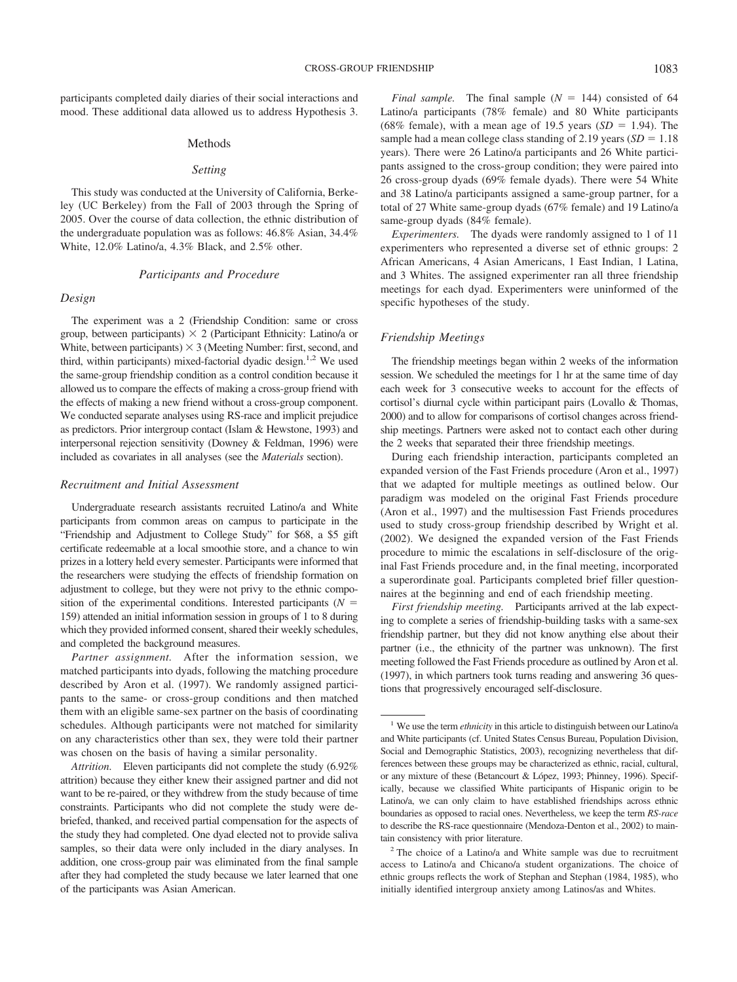participants completed daily diaries of their social interactions and mood. These additional data allowed us to address Hypothesis 3.

#### Methods

#### *Setting*

This study was conducted at the University of California, Berkeley (UC Berkeley) from the Fall of 2003 through the Spring of 2005. Over the course of data collection, the ethnic distribution of the undergraduate population was as follows: 46.8% Asian, 34.4% White, 12.0% Latino/a, 4.3% Black, and 2.5% other.

#### *Participants and Procedure*

### *Design*

The experiment was a 2 (Friendship Condition: same or cross group, between participants)  $\times$  2 (Participant Ethnicity: Latino/a or White, between participants)  $\times$  3 (Meeting Number: first, second, and third, within participants) mixed-factorial dyadic design.<sup>1,2</sup> We used the same-group friendship condition as a control condition because it allowed us to compare the effects of making a cross-group friend with the effects of making a new friend without a cross-group component. We conducted separate analyses using RS-race and implicit prejudice as predictors. Prior intergroup contact (Islam & Hewstone, 1993) and interpersonal rejection sensitivity (Downey & Feldman, 1996) were included as covariates in all analyses (see the *Materials* section).

## *Recruitment and Initial Assessment*

Undergraduate research assistants recruited Latino/a and White participants from common areas on campus to participate in the "Friendship and Adjustment to College Study" for \$68, a \$5 gift certificate redeemable at a local smoothie store, and a chance to win prizes in a lottery held every semester. Participants were informed that the researchers were studying the effects of friendship formation on adjustment to college, but they were not privy to the ethnic composition of the experimental conditions. Interested participants ( $N =$ 159) attended an initial information session in groups of 1 to 8 during which they provided informed consent, shared their weekly schedules, and completed the background measures.

*Partner assignment.* After the information session, we matched participants into dyads, following the matching procedure described by Aron et al. (1997). We randomly assigned participants to the same- or cross-group conditions and then matched them with an eligible same-sex partner on the basis of coordinating schedules. Although participants were not matched for similarity on any characteristics other than sex, they were told their partner was chosen on the basis of having a similar personality.

*Attrition.* Eleven participants did not complete the study (6.92% attrition) because they either knew their assigned partner and did not want to be re-paired, or they withdrew from the study because of time constraints. Participants who did not complete the study were debriefed, thanked, and received partial compensation for the aspects of the study they had completed. One dyad elected not to provide saliva samples, so their data were only included in the diary analyses. In addition, one cross-group pair was eliminated from the final sample after they had completed the study because we later learned that one of the participants was Asian American.

*Final sample.* The final sample  $(N = 144)$  consisted of 64 Latino/a participants (78% female) and 80 White participants (68% female), with a mean age of 19.5 years ( $SD = 1.94$ ). The sample had a mean college class standing of 2.19 years  $(SD = 1.18)$ years). There were 26 Latino/a participants and 26 White participants assigned to the cross-group condition; they were paired into 26 cross-group dyads (69% female dyads). There were 54 White and 38 Latino/a participants assigned a same-group partner, for a total of 27 White same-group dyads (67% female) and 19 Latino/a same-group dyads (84% female).

*Experimenters.* The dyads were randomly assigned to 1 of 11 experimenters who represented a diverse set of ethnic groups: 2 African Americans, 4 Asian Americans, 1 East Indian, 1 Latina, and 3 Whites. The assigned experimenter ran all three friendship meetings for each dyad. Experimenters were uninformed of the specific hypotheses of the study.

## *Friendship Meetings*

The friendship meetings began within 2 weeks of the information session. We scheduled the meetings for 1 hr at the same time of day each week for 3 consecutive weeks to account for the effects of cortisol's diurnal cycle within participant pairs (Lovallo & Thomas, 2000) and to allow for comparisons of cortisol changes across friendship meetings. Partners were asked not to contact each other during the 2 weeks that separated their three friendship meetings.

During each friendship interaction, participants completed an expanded version of the Fast Friends procedure (Aron et al., 1997) that we adapted for multiple meetings as outlined below. Our paradigm was modeled on the original Fast Friends procedure (Aron et al., 1997) and the multisession Fast Friends procedures used to study cross-group friendship described by Wright et al. (2002). We designed the expanded version of the Fast Friends procedure to mimic the escalations in self-disclosure of the original Fast Friends procedure and, in the final meeting, incorporated a superordinate goal. Participants completed brief filler questionnaires at the beginning and end of each friendship meeting.

*First friendship meeting.* Participants arrived at the lab expecting to complete a series of friendship-building tasks with a same-sex friendship partner, but they did not know anything else about their partner (i.e., the ethnicity of the partner was unknown). The first meeting followed the Fast Friends procedure as outlined by Aron et al. (1997), in which partners took turns reading and answering 36 questions that progressively encouraged self-disclosure.

<sup>1</sup> We use the term *ethnicity* in this article to distinguish between our Latino/a and White participants (cf. United States Census Bureau, Population Division, Social and Demographic Statistics, 2003), recognizing nevertheless that differences between these groups may be characterized as ethnic, racial, cultural, or any mixture of these (Betancourt & López, 1993; Phinney, 1996). Specifically, because we classified White participants of Hispanic origin to be Latino/a, we can only claim to have established friendships across ethnic boundaries as opposed to racial ones. Nevertheless, we keep the term *RS-race* to describe the RS-race questionnaire (Mendoza-Denton et al., 2002) to maintain consistency with prior literature.

<sup>2</sup> The choice of a Latino/a and White sample was due to recruitment access to Latino/a and Chicano/a student organizations. The choice of ethnic groups reflects the work of Stephan and Stephan (1984, 1985), who initially identified intergroup anxiety among Latinos/as and Whites.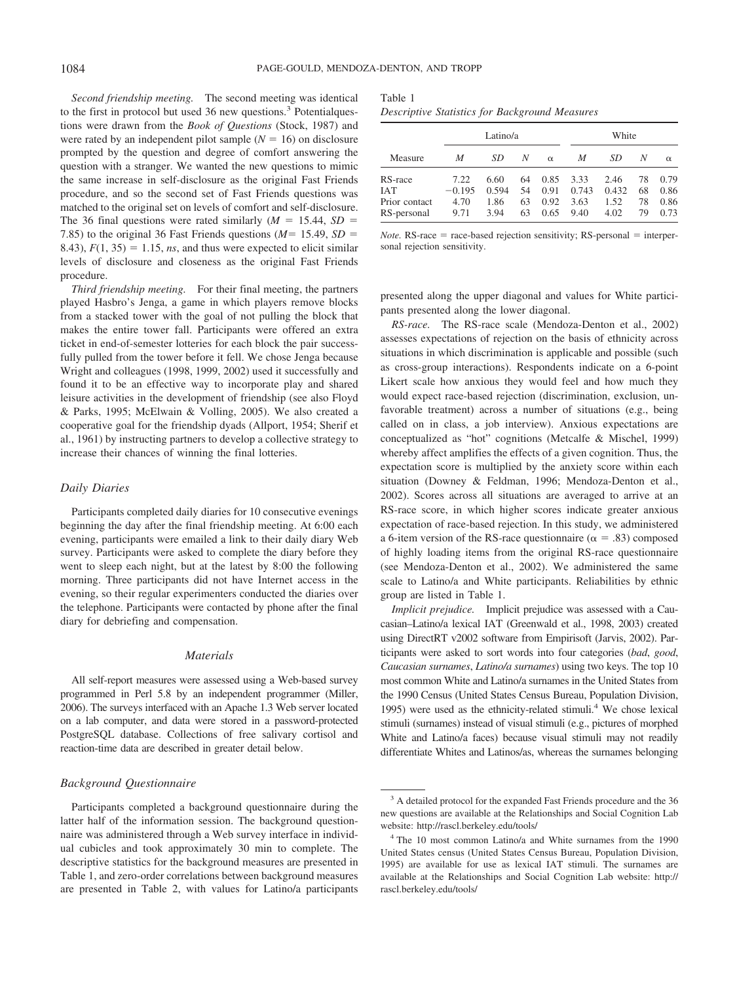*Second friendship meeting.* The second meeting was identical to the first in protocol but used 36 new questions.<sup>3</sup> Potentialquestions were drawn from the *Book of Questions* (Stock, 1987) and were rated by an independent pilot sample  $(N = 16)$  on disclosure prompted by the question and degree of comfort answering the question with a stranger. We wanted the new questions to mimic the same increase in self-disclosure as the original Fast Friends procedure, and so the second set of Fast Friends questions was matched to the original set on levels of comfort and self-disclosure. The 36 final questions were rated similarly  $(M = 15.44, SD =$ 7.85) to the original 36 Fast Friends questions  $(M = 15.49, SD =$ 8.43),  $F(1, 35) = 1.15$ , *ns*, and thus were expected to elicit similar levels of disclosure and closeness as the original Fast Friends procedure.

*Third friendship meeting.* For their final meeting, the partners played Hasbro's Jenga, a game in which players remove blocks from a stacked tower with the goal of not pulling the block that makes the entire tower fall. Participants were offered an extra ticket in end-of-semester lotteries for each block the pair successfully pulled from the tower before it fell. We chose Jenga because Wright and colleagues (1998, 1999, 2002) used it successfully and found it to be an effective way to incorporate play and shared leisure activities in the development of friendship (see also Floyd & Parks, 1995; McElwain & Volling, 2005). We also created a cooperative goal for the friendship dyads (Allport, 1954; Sherif et al., 1961) by instructing partners to develop a collective strategy to increase their chances of winning the final lotteries.

#### *Daily Diaries*

Participants completed daily diaries for 10 consecutive evenings beginning the day after the final friendship meeting. At 6:00 each evening, participants were emailed a link to their daily diary Web survey. Participants were asked to complete the diary before they went to sleep each night, but at the latest by 8:00 the following morning. Three participants did not have Internet access in the evening, so their regular experimenters conducted the diaries over the telephone. Participants were contacted by phone after the final diary for debriefing and compensation.

## *Materials*

All self-report measures were assessed using a Web-based survey programmed in Perl 5.8 by an independent programmer (Miller, 2006). The surveys interfaced with an Apache 1.3 Web server located on a lab computer, and data were stored in a password-protected PostgreSQL database. Collections of free salivary cortisol and reaction-time data are described in greater detail below.

#### *Background Questionnaire*

Participants completed a background questionnaire during the latter half of the information session. The background questionnaire was administered through a Web survey interface in individual cubicles and took approximately 30 min to complete. The descriptive statistics for the background measures are presented in Table 1, and zero-order correlations between background measures are presented in Table 2, with values for Latino/a participants

| Table 1 |  |                                                |  |
|---------|--|------------------------------------------------|--|
|         |  | Descriptive Statistics for Background Measures |  |

|                                                       |                                  | Latino/a                      |                      |                              |                               | White                         |                      |                              |
|-------------------------------------------------------|----------------------------------|-------------------------------|----------------------|------------------------------|-------------------------------|-------------------------------|----------------------|------------------------------|
| Measure                                               | M                                | SD                            | N                    | $\alpha$                     | M                             | SD                            | N                    | $\alpha$                     |
| RS-race<br><b>IAT</b><br>Prior contact<br>RS-personal | 7.22<br>$-0.195$<br>4.70<br>9.71 | 6.60<br>0.594<br>1.86<br>3.94 | 64<br>54<br>63<br>63 | 0.85<br>0.91<br>0.92<br>0.65 | 3.33<br>0.743<br>3.63<br>9.40 | 2.46<br>0.432<br>1.52<br>4.02 | 78<br>68<br>78<br>79 | 0.79<br>0.86<br>0.86<br>0.73 |

*Note.*  $RS$ -race = race-based rejection sensitivity;  $RS$ -personal = interpersonal rejection sensitivity.

presented along the upper diagonal and values for White participants presented along the lower diagonal.

*RS-race.* The RS-race scale (Mendoza-Denton et al., 2002) assesses expectations of rejection on the basis of ethnicity across situations in which discrimination is applicable and possible (such as cross-group interactions). Respondents indicate on a 6-point Likert scale how anxious they would feel and how much they would expect race-based rejection (discrimination, exclusion, unfavorable treatment) across a number of situations (e.g., being called on in class, a job interview). Anxious expectations are conceptualized as "hot" cognitions (Metcalfe & Mischel, 1999) whereby affect amplifies the effects of a given cognition. Thus, the expectation score is multiplied by the anxiety score within each situation (Downey & Feldman, 1996; Mendoza-Denton et al., 2002). Scores across all situations are averaged to arrive at an RS-race score, in which higher scores indicate greater anxious expectation of race-based rejection. In this study, we administered a 6-item version of the RS-race questionnaire ( $\alpha = .83$ ) composed of highly loading items from the original RS-race questionnaire (see Mendoza-Denton et al., 2002). We administered the same scale to Latino/a and White participants. Reliabilities by ethnic group are listed in Table 1.

*Implicit prejudice.* Implicit prejudice was assessed with a Caucasian–Latino/a lexical IAT (Greenwald et al., 1998, 2003) created using DirectRT v2002 software from Empirisoft (Jarvis, 2002). Participants were asked to sort words into four categories (*bad*, *good*, *Caucasian surnames*, *Latino/a surnames*) using two keys. The top 10 most common White and Latino/a surnames in the United States from the 1990 Census (United States Census Bureau, Population Division, 1995) were used as the ethnicity-related stimuli. <sup>4</sup> We chose lexical stimuli (surnames) instead of visual stimuli (e.g., pictures of morphed White and Latino/a faces) because visual stimuli may not readily differentiate Whites and Latinos/as, whereas the surnames belonging

<sup>&</sup>lt;sup>3</sup> A detailed protocol for the expanded Fast Friends procedure and the 36 new questions are available at the Relationships and Social Cognition Lab website: http://rascl.berkeley.edu/tools/

<sup>4</sup> The 10 most common Latino/a and White surnames from the 1990 United States census (United States Census Bureau, Population Division, 1995) are available for use as lexical IAT stimuli. The surnames are available at the Relationships and Social Cognition Lab website: http:// rascl.berkeley.edu/tools/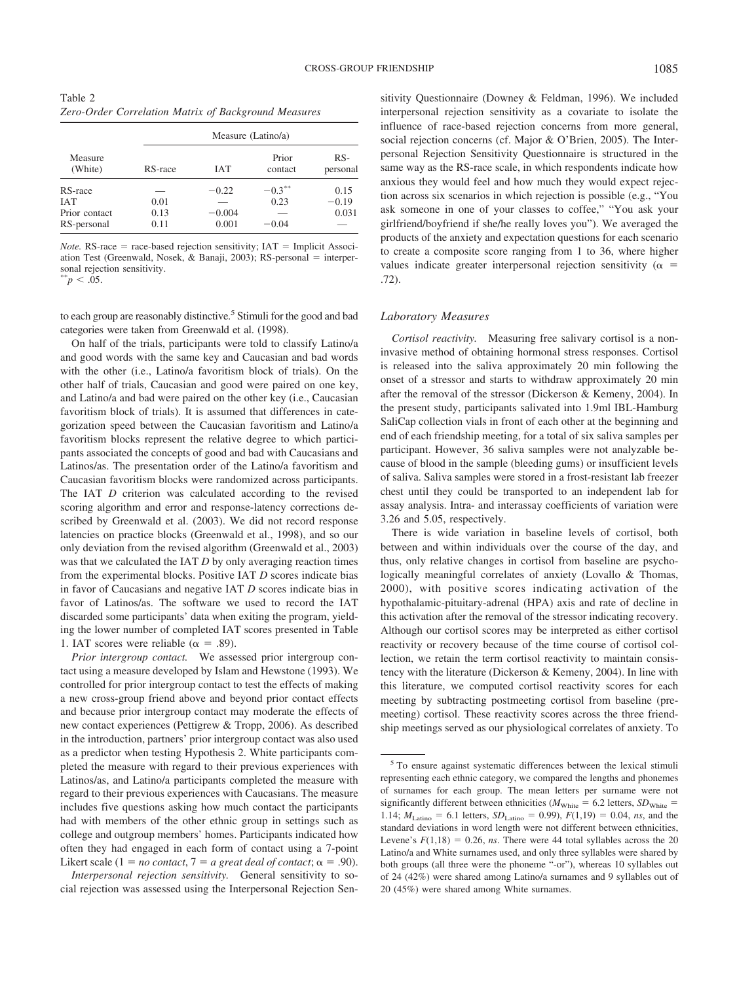Table 2 *Zero-Order Correlation Matrix of Background Measures*

|                    |         |            | Measure (Latino/a) |                   |
|--------------------|---------|------------|--------------------|-------------------|
| Measure<br>(White) | RS-race | <b>IAT</b> | Prior<br>contact   | $RS-$<br>personal |
| RS-race            |         | $-0.22$    | $-0.3***$          | 0.15              |
| <b>IAT</b>         | 0.01    |            | 0.23               | $-0.19$           |
| Prior contact      | 0.13    | $-0.004$   |                    | 0.031             |
| RS-personal        | 0.11    | 0.001      | $-0.04$            |                   |

*Note.* RS-race = race-based rejection sensitivity;  $IAT$  = Implicit Association Test (Greenwald, Nosek, & Banaji, 2003); RS-personal = interpersonal rejection sensitivity.<br>  $*^*p < .05$ .

to each group are reasonably distinctive. <sup>5</sup> Stimuli for the good and bad categories were taken from Greenwald et al. (1998).

On half of the trials, participants were told to classify Latino/a and good words with the same key and Caucasian and bad words with the other (i.e., Latino/a favoritism block of trials). On the other half of trials, Caucasian and good were paired on one key, and Latino/a and bad were paired on the other key (i.e., Caucasian favoritism block of trials). It is assumed that differences in categorization speed between the Caucasian favoritism and Latino/a favoritism blocks represent the relative degree to which participants associated the concepts of good and bad with Caucasians and Latinos/as. The presentation order of the Latino/a favoritism and Caucasian favoritism blocks were randomized across participants. The IAT *D* criterion was calculated according to the revised scoring algorithm and error and response-latency corrections described by Greenwald et al. (2003). We did not record response latencies on practice blocks (Greenwald et al., 1998), and so our only deviation from the revised algorithm (Greenwald et al., 2003) was that we calculated the IAT *D* by only averaging reaction times from the experimental blocks. Positive IAT *D* scores indicate bias in favor of Caucasians and negative IAT *D* scores indicate bias in favor of Latinos/as. The software we used to record the IAT discarded some participants' data when exiting the program, yielding the lower number of completed IAT scores presented in Table 1. IAT scores were reliable ( $\alpha = .89$ ).

*Prior intergroup contact.* We assessed prior intergroup contact using a measure developed by Islam and Hewstone (1993). We controlled for prior intergroup contact to test the effects of making a new cross-group friend above and beyond prior contact effects and because prior intergroup contact may moderate the effects of new contact experiences (Pettigrew & Tropp, 2006). As described in the introduction, partners' prior intergroup contact was also used as a predictor when testing Hypothesis 2. White participants completed the measure with regard to their previous experiences with Latinos/as, and Latino/a participants completed the measure with regard to their previous experiences with Caucasians. The measure includes five questions asking how much contact the participants had with members of the other ethnic group in settings such as college and outgroup members' homes. Participants indicated how often they had engaged in each form of contact using a 7-point Likert scale (1 = *no contact*, 7 = *a* great *deal of contact*;  $\alpha$  = .90).

*Interpersonal rejection sensitivity.* General sensitivity to social rejection was assessed using the Interpersonal Rejection Sensitivity Questionnaire (Downey & Feldman, 1996). We included interpersonal rejection sensitivity as a covariate to isolate the influence of race-based rejection concerns from more general, social rejection concerns (cf. Major & O'Brien, 2005). The Interpersonal Rejection Sensitivity Questionnaire is structured in the same way as the RS-race scale, in which respondents indicate how anxious they would feel and how much they would expect rejection across six scenarios in which rejection is possible (e.g., "You ask someone in one of your classes to coffee," "You ask your girlfriend/boyfriend if she/he really loves you"). We averaged the products of the anxiety and expectation questions for each scenario to create a composite score ranging from 1 to 36, where higher values indicate greater interpersonal rejection sensitivity ( $\alpha$  = .72).

#### *Laboratory Measures*

*Cortisol reactivity.* Measuring free salivary cortisol is a noninvasive method of obtaining hormonal stress responses. Cortisol is released into the saliva approximately 20 min following the onset of a stressor and starts to withdraw approximately 20 min after the removal of the stressor (Dickerson & Kemeny, 2004). In the present study, participants salivated into 1.9ml IBL-Hamburg SaliCap collection vials in front of each other at the beginning and end of each friendship meeting, for a total of six saliva samples per participant. However, 36 saliva samples were not analyzable because of blood in the sample (bleeding gums) or insufficient levels of saliva. Saliva samples were stored in a frost-resistant lab freezer chest until they could be transported to an independent lab for assay analysis. Intra- and interassay coefficients of variation were 3.26 and 5.05, respectively.

There is wide variation in baseline levels of cortisol, both between and within individuals over the course of the day, and thus, only relative changes in cortisol from baseline are psychologically meaningful correlates of anxiety (Lovallo & Thomas, 2000), with positive scores indicating activation of the hypothalamic-pituitary-adrenal (HPA) axis and rate of decline in this activation after the removal of the stressor indicating recovery. Although our cortisol scores may be interpreted as either cortisol reactivity or recovery because of the time course of cortisol collection, we retain the term cortisol reactivity to maintain consistency with the literature (Dickerson & Kemeny, 2004). In line with this literature, we computed cortisol reactivity scores for each meeting by subtracting postmeeting cortisol from baseline (premeeting) cortisol. These reactivity scores across the three friendship meetings served as our physiological correlates of anxiety. To

<sup>5</sup> To ensure against systematic differences between the lexical stimuli representing each ethnic category, we compared the lengths and phonemes of surnames for each group. The mean letters per surname were not significantly different between ethnicities ( $M_{\text{White}} = 6.2$  letters,  $SD_{\text{White}} =$ 1.14;  $M_{\text{Latino}} = 6.1$  letters,  $SD_{\text{Latino}} = 0.99$ ),  $F(1,19) = 0.04$ , *ns*, and the standard deviations in word length were not different between ethnicities, Levene's  $F(1,18) = 0.26$ , *ns*. There were 44 total syllables across the 20 Latino/a and White surnames used, and only three syllables were shared by both groups (all three were the phoneme "-or"), whereas 10 syllables out of 24 (42%) were shared among Latino/a surnames and 9 syllables out of 20 (45%) were shared among White surnames.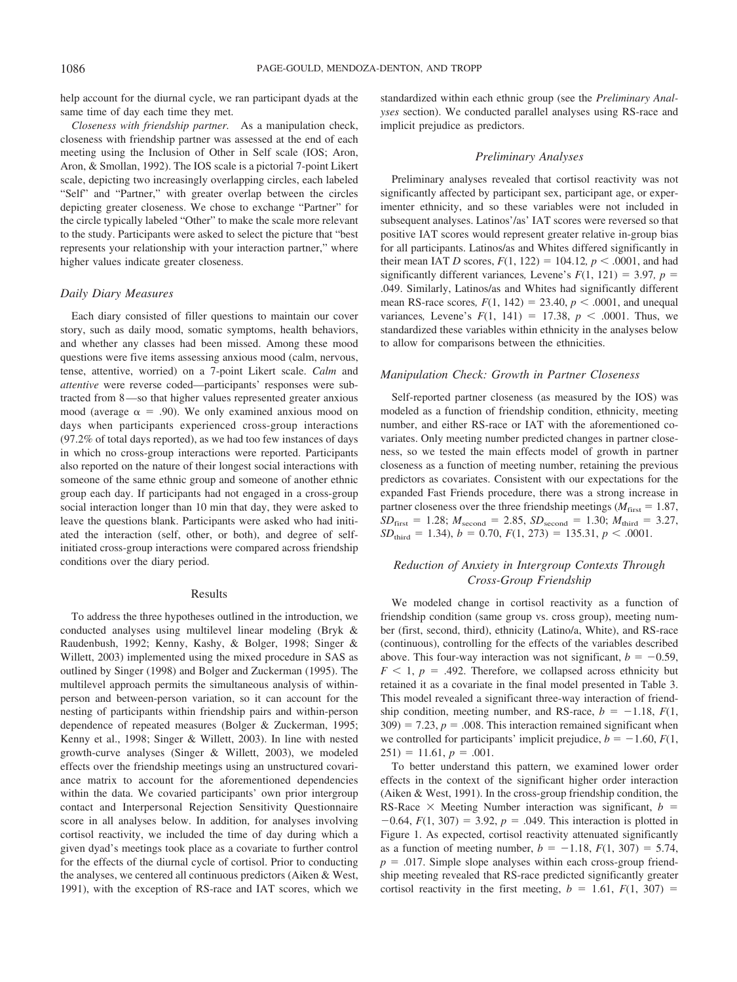help account for the diurnal cycle, we ran participant dyads at the same time of day each time they met.

*Closeness with friendship partner.* As a manipulation check, closeness with friendship partner was assessed at the end of each meeting using the Inclusion of Other in Self scale (IOS; Aron, Aron, & Smollan, 1992). The IOS scale is a pictorial 7-point Likert scale, depicting two increasingly overlapping circles, each labeled "Self" and "Partner," with greater overlap between the circles depicting greater closeness. We chose to exchange "Partner" for the circle typically labeled "Other" to make the scale more relevant to the study. Participants were asked to select the picture that "best represents your relationship with your interaction partner," where higher values indicate greater closeness.

#### *Daily Diary Measures*

Each diary consisted of filler questions to maintain our cover story, such as daily mood, somatic symptoms, health behaviors, and whether any classes had been missed. Among these mood questions were five items assessing anxious mood (calm, nervous, tense, attentive, worried) on a 7-point Likert scale. *Calm* and *attentive* were reverse coded—participants' responses were subtracted from 8—so that higher values represented greater anxious mood (average  $\alpha = .90$ ). We only examined anxious mood on days when participants experienced cross-group interactions (97.2% of total days reported), as we had too few instances of days in which no cross-group interactions were reported. Participants also reported on the nature of their longest social interactions with someone of the same ethnic group and someone of another ethnic group each day. If participants had not engaged in a cross-group social interaction longer than 10 min that day, they were asked to leave the questions blank. Participants were asked who had initiated the interaction (self, other, or both), and degree of selfinitiated cross-group interactions were compared across friendship conditions over the diary period.

#### Results

To address the three hypotheses outlined in the introduction, we conducted analyses using multilevel linear modeling (Bryk & Raudenbush, 1992; Kenny, Kashy, & Bolger, 1998; Singer & Willett, 2003) implemented using the mixed procedure in SAS as outlined by Singer (1998) and Bolger and Zuckerman (1995). The multilevel approach permits the simultaneous analysis of withinperson and between-person variation, so it can account for the nesting of participants within friendship pairs and within-person dependence of repeated measures (Bolger & Zuckerman, 1995; Kenny et al., 1998; Singer & Willett, 2003). In line with nested growth-curve analyses (Singer & Willett, 2003), we modeled effects over the friendship meetings using an unstructured covariance matrix to account for the aforementioned dependencies within the data. We covaried participants' own prior intergroup contact and Interpersonal Rejection Sensitivity Questionnaire score in all analyses below. In addition, for analyses involving cortisol reactivity, we included the time of day during which a given dyad's meetings took place as a covariate to further control for the effects of the diurnal cycle of cortisol. Prior to conducting the analyses, we centered all continuous predictors (Aiken & West, 1991), with the exception of RS-race and IAT scores, which we standardized within each ethnic group (see the *Preliminary Analyses* section). We conducted parallel analyses using RS-race and implicit prejudice as predictors.

## *Preliminary Analyses*

Preliminary analyses revealed that cortisol reactivity was not significantly affected by participant sex, participant age, or experimenter ethnicity, and so these variables were not included in subsequent analyses. Latinos'/as' IAT scores were reversed so that positive IAT scores would represent greater relative in-group bias for all participants. Latinos/as and Whites differed significantly in their mean IAT *D* scores,  $F(1, 122) = 104.12$ ,  $p < .0001$ , and had significantly different variances, Levene's  $F(1, 121) = 3.97$ ,  $p =$ .049. Similarly, Latinos/as and Whites had significantly different mean RS-race scores,  $F(1, 142) = 23.40, p < .0001$ , and unequal variances, Levene's  $F(1, 141) = 17.38, p < .0001$ . Thus, we standardized these variables within ethnicity in the analyses below to allow for comparisons between the ethnicities.

## *Manipulation Check: Growth in Partner Closeness*

Self-reported partner closeness (as measured by the IOS) was modeled as a function of friendship condition, ethnicity, meeting number, and either RS-race or IAT with the aforementioned covariates. Only meeting number predicted changes in partner closeness, so we tested the main effects model of growth in partner closeness as a function of meeting number, retaining the previous predictors as covariates. Consistent with our expectations for the expanded Fast Friends procedure, there was a strong increase in partner closeness over the three friendship meetings ( $M<sub>first</sub> = 1.87$ ,  $SD_{first} = 1.28$ ;  $M_{second} = 2.85$ ,  $SD_{second} = 1.30$ ;  $M_{third} = 3.27$ ,  $SD_{\text{third}} = 1.34$ ,  $b = 0.70$ ,  $F(1, 273) = 135.31$ ,  $p < .0001$ .

# *Reduction of Anxiety in Intergroup Contexts Through Cross-Group Friendship*

We modeled change in cortisol reactivity as a function of friendship condition (same group vs. cross group), meeting number (first, second, third), ethnicity (Latino/a, White), and RS-race (continuous), controlling for the effects of the variables described above. This four-way interaction was not significant,  $b = -0.59$ ,  $F \le 1$ ,  $p = .492$ . Therefore, we collapsed across ethnicity but retained it as a covariate in the final model presented in Table 3. This model revealed a significant three-way interaction of friendship condition, meeting number, and RS-race,  $b = -1.18$ ,  $F(1, 1)$  $309$ ) = 7.23,  $p = .008$ . This interaction remained significant when we controlled for participants' implicit prejudice,  $b = -1.60, F(1,$  $251$ ) = 11.61,  $p = .001$ .

To better understand this pattern, we examined lower order effects in the context of the significant higher order interaction (Aiken & West, 1991). In the cross-group friendship condition, the RS-Race  $\times$  Meeting Number interaction was significant,  $b =$  $-0.64$ ,  $F(1, 307) = 3.92$ ,  $p = .049$ . This interaction is plotted in Figure 1. As expected, cortisol reactivity attenuated significantly as a function of meeting number,  $b = -1.18$ ,  $F(1, 307) = 5.74$ ,  $p = .017$ . Simple slope analyses within each cross-group friendship meeting revealed that RS-race predicted significantly greater cortisol reactivity in the first meeting,  $b = 1.61$ ,  $F(1, 307) =$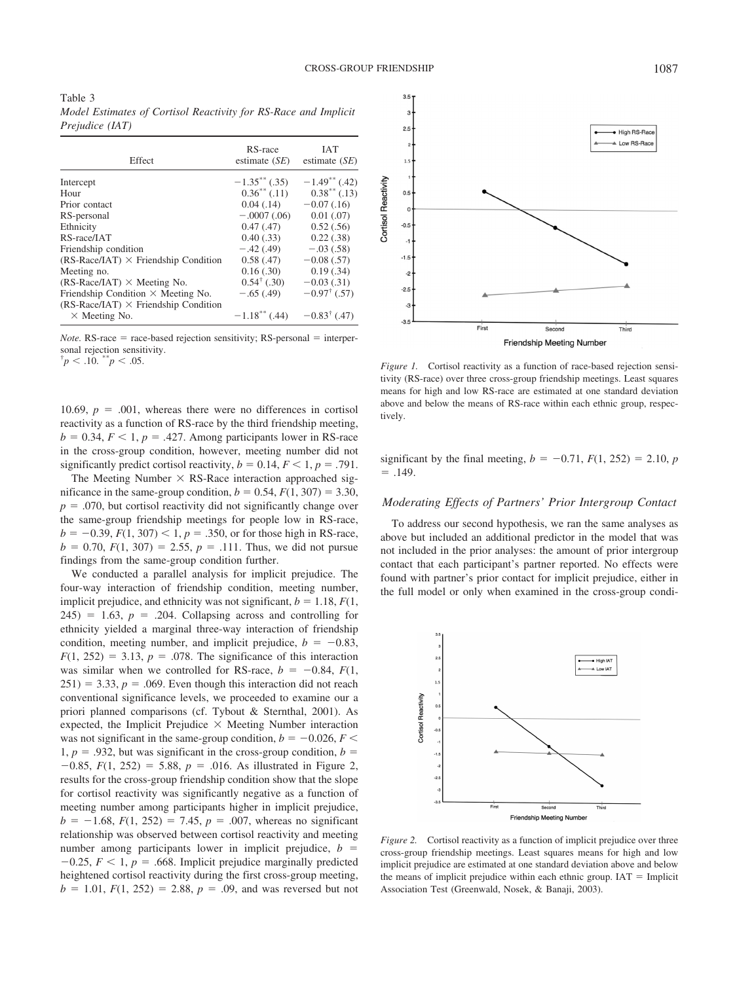| Table 3                                                         |  |  |
|-----------------------------------------------------------------|--|--|
| Model Estimates of Cortisol Reactivity for RS-Race and Implicit |  |  |
| <i>Prejudice (IAT)</i>                                          |  |  |

| Effect                                      | RS-race<br>estimate $(SE)$ | <b>IAT</b><br>estimate $(SE)$ |
|---------------------------------------------|----------------------------|-------------------------------|
| Intercept                                   | $-1.35$ ** (.35)           | $-1.49$ ** (.42)              |
| Hour                                        | $0.36^{**}$ (.11)          | $0.38^{**}$ (.13)             |
| Prior contact                               | 0.04(0.14)                 | $-0.07(0.16)$                 |
| RS-personal                                 | $-.0007(.06)$              | $0.01$ $(.07)$                |
| Ethnicity                                   | 0.47(0.47)                 | 0.52(.56)                     |
| RS-race/IAT                                 | 0.40(0.33)                 | 0.22(0.38)                    |
| Friendship condition                        | $-.42(.49)$                | $-.03(.58)$                   |
| $(RS-Race/IAT) \times$ Friendship Condition | 0.58(0.47)                 | $-0.08$ (.57)                 |
| Meeting no.                                 | 0.16(.30)                  | 0.19(.34)                     |
| $(RS-Race/IAT) \times Meeting No.$          | $0.54^{\dagger}$ (.30)     | $-0.03(0.31)$                 |
| Friendship Condition $\times$ Meeting No.   | $-.65(.49)$                | $-0.97^{\dagger}$ (.57)       |
| $(RS-Race/IAT) \times$ Friendship Condition |                            |                               |
| $\times$ Meeting No.                        | $-1.18***$ (.44)           | $-0.83^{\dagger}$ (.47)       |

*Note.*  $RS$ -race = race-based rejection sensitivity;  $RS$ -personal = interpersonal rejection sensitivity. †

 $\mu$ <sup>\*</sup> $p$  < .10.  $\mu$ <sup>\*</sup> $p$ </sup> < .05.

10.69,  $p = .001$ , whereas there were no differences in cortisol reactivity as a function of RS-race by the third friendship meeting,  $b = 0.34, F < 1, p = .427$ . Among participants lower in RS-race in the cross-group condition, however, meeting number did not significantly predict cortisol reactivity,  $b = 0.14, F < 1, p = .791$ .

The Meeting Number  $\times$  RS-Race interaction approached significance in the same-group condition,  $b = 0.54$ ,  $F(1, 307) = 3.30$ ,  $p = .070$ , but cortisol reactivity did not significantly change over the same-group friendship meetings for people low in RS-race,  $b = -0.39, F(1, 307) < 1, p = .350$ , or for those high in RS-race,  $b = 0.70$ ,  $F(1, 307) = 2.55$ ,  $p = .111$ . Thus, we did not pursue findings from the same-group condition further.

We conducted a parallel analysis for implicit prejudice. The four-way interaction of friendship condition, meeting number, implicit prejudice, and ethnicity was not significant,  $b = 1.18$ ,  $F(1)$ ,  $245$ ) = 1.63,  $p = .204$ . Collapsing across and controlling for ethnicity yielded a marginal three-way interaction of friendship condition, meeting number, and implicit prejudice,  $b = -0.83$ ,  $F(1, 252) = 3.13$ ,  $p = .078$ . The significance of this interaction was similar when we controlled for RS-race,  $b = -0.84$ ,  $F(1, 0.84)$  $251$ ) = 3.33,  $p = .069$ . Even though this interaction did not reach conventional significance levels, we proceeded to examine our a priori planned comparisons (cf. Tybout & Sternthal, 2001). As expected, the Implicit Prejudice  $\times$  Meeting Number interaction was not significant in the same-group condition,  $b = -0.026, F <$ 1,  $p = .932$ , but was significant in the cross-group condition,  $b =$  $-0.85$ ,  $F(1, 252) = 5.88$ ,  $p = .016$ . As illustrated in Figure 2, results for the cross-group friendship condition show that the slope for cortisol reactivity was significantly negative as a function of meeting number among participants higher in implicit prejudice,  $b = -1.68$ ,  $F(1, 252) = 7.45$ ,  $p = .007$ , whereas no significant relationship was observed between cortisol reactivity and meeting number among participants lower in implicit prejudice,  $b =$  $-0.25$ ,  $F < 1$ ,  $p = .668$ . Implicit prejudice marginally predicted heightened cortisol reactivity during the first cross-group meeting,  $b = 1.01$ ,  $F(1, 252) = 2.88$ ,  $p = .09$ , and was reversed but not



*Figure 1.* Cortisol reactivity as a function of race-based rejection sensitivity (RS-race) over three cross-group friendship meetings. Least squares means for high and low RS-race are estimated at one standard deviation above and below the means of RS-race within each ethnic group, respectively.

significant by the final meeting,  $b = -0.71$ ,  $F(1, 252) = 2.10$ , *p*  $= .149.$ 

#### *Moderating Effects of Partners' Prior Intergroup Contact*

To address our second hypothesis, we ran the same analyses as above but included an additional predictor in the model that was not included in the prior analyses: the amount of prior intergroup contact that each participant's partner reported. No effects were found with partner's prior contact for implicit prejudice, either in the full model or only when examined in the cross-group condi-



*Figure 2.* Cortisol reactivity as a function of implicit prejudice over three cross-group friendship meetings. Least squares means for high and low implicit prejudice are estimated at one standard deviation above and below the means of implicit prejudice within each ethnic group.  $IAT = Implicit$ Association Test (Greenwald, Nosek, & Banaji, 2003).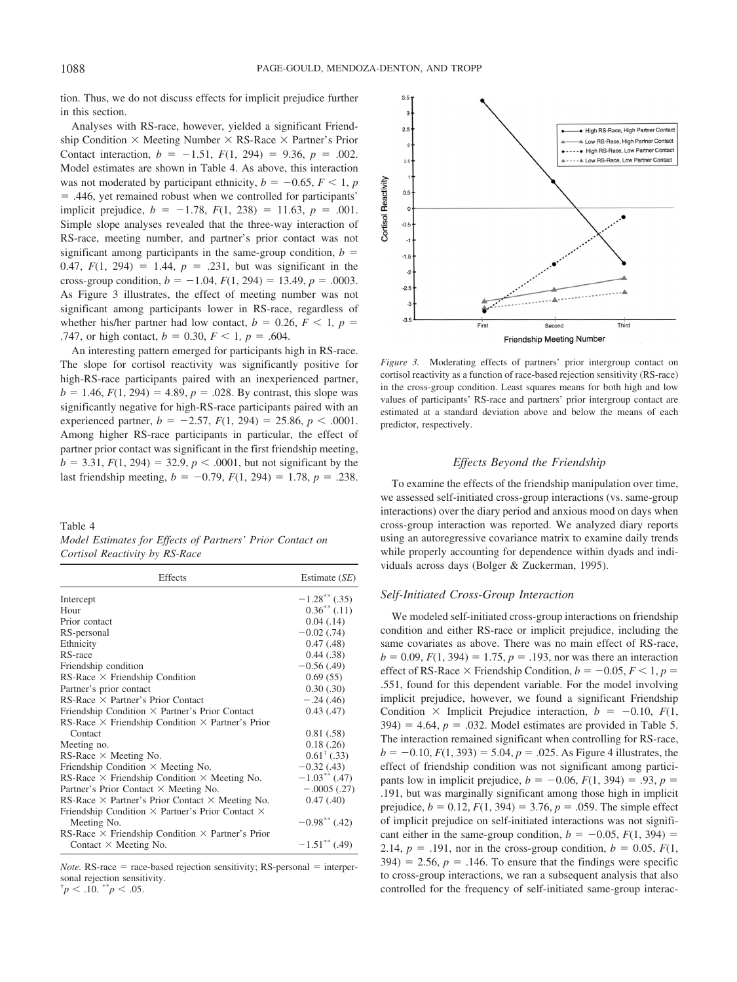tion. Thus, we do not discuss effects for implicit prejudice further in this section.

Analyses with RS-race, however, yielded a significant Friendship Condition  $\times$  Meeting Number  $\times$  RS-Race  $\times$  Partner's Prior Contact interaction,  $b = -1.51$ ,  $F(1, 294) = 9.36$ ,  $p = .002$ . Model estimates are shown in Table 4. As above, this interaction was not moderated by participant ethnicity,  $b = -0.65, F < 1, p$  $=$  .446, yet remained robust when we controlled for participants' implicit prejudice,  $b = -1.78$ ,  $F(1, 238) = 11.63$ ,  $p = .001$ . Simple slope analyses revealed that the three-way interaction of RS-race, meeting number, and partner's prior contact was not significant among participants in the same-group condition,  $b =$ 0.47,  $F(1, 294) = 1.44$ ,  $p = .231$ , but was significant in the cross-group condition,  $b = -1.04$ ,  $F(1, 294) = 13.49$ ,  $p = .0003$ . As Figure 3 illustrates, the effect of meeting number was not significant among participants lower in RS-race, regardless of whether his/her partner had low contact,  $b = 0.26, F < 1, p = 0$ .747, or high contact,  $b = 0.30, F < 1, p = .604$ .

An interesting pattern emerged for participants high in RS-race. The slope for cortisol reactivity was significantly positive for high-RS-race participants paired with an inexperienced partner,  $b = 1.46$ ,  $F(1, 294) = 4.89$ ,  $p = .028$ . By contrast, this slope was significantly negative for high-RS-race participants paired with an experienced partner,  $b = -2.57$ ,  $F(1, 294) = 25.86$ ,  $p < .0001$ . Among higher RS-race participants in particular, the effect of partner prior contact was significant in the first friendship meeting,  $b = 3.31, F(1, 294) = 32.9, p < .0001$ , but not significant by the last friendship meeting,  $b = -0.79$ ,  $F(1, 294) = 1.78$ ,  $p = .238$ .

Table 4

| Model Estimates for Effects of Partners' Prior Contact on |  |  |
|-----------------------------------------------------------|--|--|
| Cortisol Reactivity by RS-Race                            |  |  |

| Effects                                                        | Estimate $(SE)$             |
|----------------------------------------------------------------|-----------------------------|
| Intercept                                                      | $-1.28$ <sup>**</sup> (.35) |
| Hour                                                           | $0.36^{**}$ (.11)           |
| Prior contact                                                  | 0.04(0.14)                  |
| RS-personal                                                    | $-0.02$ (.74)               |
| Ethnicity                                                      | 0.47(0.48)                  |
| RS-race                                                        | 0.44(0.38)                  |
| Friendship condition                                           | $-0.56(0.49)$               |
| $RS$ -Race $\times$ Friendship Condition                       | 0.69(55)                    |
| Partner's prior contact                                        | 0.30(.30)                   |
| $RS$ -Race $\times$ Partner's Prior Contact                    | $-.24(.46)$                 |
| Friendship Condition $\times$ Partner's Prior Contact          | 0.43(0.47)                  |
| RS-Race $\times$ Friendship Condition $\times$ Partner's Prior |                             |
| Contact                                                        | 0.81(.58)                   |
| Meeting no.                                                    | 0.18(.26)                   |
| $RS$ -Race $\times$ Meeting No.                                | $0.61^{\dagger}$ (.33)      |
| Friendship Condition $\times$ Meeting No.                      | $-0.32(0.43)$               |
| RS-Race $\times$ Friendship Condition $\times$ Meeting No.     | $-1.03$ <sup>**</sup> (.47) |
| Partner's Prior Contact $\times$ Meeting No.                   | $-.0005(.27)$               |
| RS-Race $\times$ Partner's Prior Contact $\times$ Meeting No.  | 0.47(0.40)                  |
| Friendship Condition $\times$ Partner's Prior Contact $\times$ |                             |
| Meeting No.                                                    | $-0.98**$ (.42)             |
| RS-Race $\times$ Friendship Condition $\times$ Partner's Prior |                             |
| Contact $\times$ Meeting No.                                   | $-1.51***$ (.49)            |

*Note.*  $RS$ -race = race-based rejection sensitivity;  $RS$ -personal = interpersonal rejection sensitivity.

 $\mu$ <sup>\*</sup> $p$  < .10.  $\mu$ <sup>\*</sup> $p$ </sup> < .05.



*Figure 3.* Moderating effects of partners' prior intergroup contact on cortisol reactivity as a function of race-based rejection sensitivity (RS-race) in the cross-group condition. Least squares means for both high and low values of participants' RS-race and partners' prior intergroup contact are estimated at a standard deviation above and below the means of each predictor, respectively.

## *Effects Beyond the Friendship*

To examine the effects of the friendship manipulation over time, we assessed self-initiated cross-group interactions (vs. same-group interactions) over the diary period and anxious mood on days when cross-group interaction was reported. We analyzed diary reports using an autoregressive covariance matrix to examine daily trends while properly accounting for dependence within dyads and individuals across days (Bolger & Zuckerman, 1995).

#### *Self-Initiated Cross-Group Interaction*

We modeled self-initiated cross-group interactions on friendship condition and either RS-race or implicit prejudice, including the same covariates as above. There was no main effect of RS-race,  $b = 0.09, F(1, 394) = 1.75, p = .193$ , nor was there an interaction effect of RS-Race  $\times$  Friendship Condition,  $b = -0.05, F < 1, p =$ .551, found for this dependent variable. For the model involving implicit prejudice, however, we found a significant Friendship Condition  $\times$  Implicit Prejudice interaction,  $b = -0.10, F(1,$  $394$ ) = 4.64,  $p = .032$ . Model estimates are provided in Table 5. The interaction remained significant when controlling for RS-race,  $b = -0.10$ ,  $F(1, 393) = 5.04$ ,  $p = .025$ . As Figure 4 illustrates, the effect of friendship condition was not significant among participants low in implicit prejudice,  $b = -0.06$ ,  $F(1, 394) = .93$ ,  $p =$ .191, but was marginally significant among those high in implicit prejudice,  $b = 0.12$ ,  $F(1, 394) = 3.76$ ,  $p = .059$ . The simple effect of implicit prejudice on self-initiated interactions was not significant either in the same-group condition,  $b = -0.05$ ,  $F(1, 394) =$ 2.14,  $p = .191$ , nor in the cross-group condition,  $b = 0.05$ ,  $F(1, 0.05)$  $394$ ) = 2.56,  $p = .146$ . To ensure that the findings were specific to cross-group interactions, we ran a subsequent analysis that also controlled for the frequency of self-initiated same-group interac-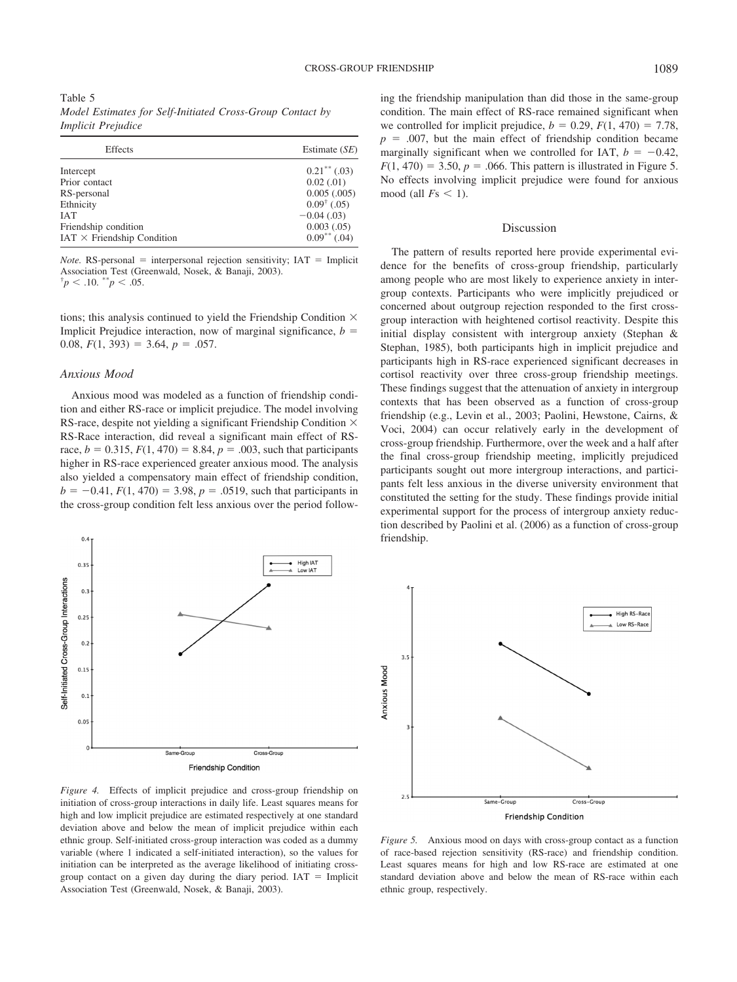Table 5 *Model Estimates for Self-Initiated Cross-Group Contact by Implicit Prejudice*

| Effects                                                                                      | Estimate (SE)                                                                                                    |
|----------------------------------------------------------------------------------------------|------------------------------------------------------------------------------------------------------------------|
| Intercept<br>Prior contact<br>RS-personal<br>Ethnicity<br><b>IAT</b><br>Friendship condition | $0.21$ <sup>**</sup> (.03)<br>0.02(0.01)<br>0.005(.005)<br>$0.09^{\dagger}$ (.05)<br>$-0.04(0.03)$<br>0.003(.05) |
| $IAT \times$ Friendship Condition                                                            | $0.09***$ (.04)                                                                                                  |

*Note.* RS-personal  $=$  interpersonal rejection sensitivity; IAT  $=$  Implicit Association Test (Greenwald, Nosek, & Banaji, 2003). †  $\phi^* p < .10.$  \*\* $p < .05.$ 

tions; this analysis continued to yield the Friendship Condition  $\times$ Implicit Prejudice interaction, now of marginal significance,  $b =$ 0.08,  $F(1, 393) = 3.64$ ,  $p = .057$ .

### *Anxious Mood*

Anxious mood was modeled as a function of friendship condition and either RS-race or implicit prejudice. The model involving RS-race, despite not yielding a significant Friendship Condition  $\times$ RS-Race interaction, did reveal a significant main effect of RSrace,  $b = 0.315$ ,  $F(1, 470) = 8.84$ ,  $p = .003$ , such that participants higher in RS-race experienced greater anxious mood. The analysis also yielded a compensatory main effect of friendship condition,  $b = -0.41$ ,  $F(1, 470) = 3.98$ ,  $p = .0519$ , such that participants in the cross-group condition felt less anxious over the period follow-



*Figure 4.* Effects of implicit prejudice and cross-group friendship on initiation of cross-group interactions in daily life. Least squares means for high and low implicit prejudice are estimated respectively at one standard deviation above and below the mean of implicit prejudice within each ethnic group. Self-initiated cross-group interaction was coded as a dummy variable (where 1 indicated a self-initiated interaction), so the values for initiation can be interpreted as the average likelihood of initiating crossgroup contact on a given day during the diary period.  $IAT = Implicit$ Association Test (Greenwald, Nosek, & Banaji, 2003).

ing the friendship manipulation than did those in the same-group condition. The main effect of RS-race remained significant when we controlled for implicit prejudice,  $b = 0.29$ ,  $F(1, 470) = 7.78$ ,  $p = .007$ , but the main effect of friendship condition became marginally significant when we controlled for IAT,  $b = -0.42$ ,  $F(1, 470) = 3.50$ ,  $p = .066$ . This pattern is illustrated in Figure 5. No effects involving implicit prejudice were found for anxious mood (all  $Fs < 1$ ).

### Discussion

The pattern of results reported here provide experimental evidence for the benefits of cross-group friendship, particularly among people who are most likely to experience anxiety in intergroup contexts. Participants who were implicitly prejudiced or concerned about outgroup rejection responded to the first crossgroup interaction with heightened cortisol reactivity. Despite this initial display consistent with intergroup anxiety (Stephan & Stephan, 1985), both participants high in implicit prejudice and participants high in RS-race experienced significant decreases in cortisol reactivity over three cross-group friendship meetings. These findings suggest that the attenuation of anxiety in intergroup contexts that has been observed as a function of cross-group friendship (e.g., Levin et al., 2003; Paolini, Hewstone, Cairns, & Voci, 2004) can occur relatively early in the development of cross-group friendship. Furthermore, over the week and a half after the final cross-group friendship meeting, implicitly prejudiced participants sought out more intergroup interactions, and participants felt less anxious in the diverse university environment that constituted the setting for the study. These findings provide initial experimental support for the process of intergroup anxiety reduction described by Paolini et al. (2006) as a function of cross-group friendship.



*Figure 5.* Anxious mood on days with cross-group contact as a function of race-based rejection sensitivity (RS-race) and friendship condition. Least squares means for high and low RS-race are estimated at one standard deviation above and below the mean of RS-race within each ethnic group, respectively.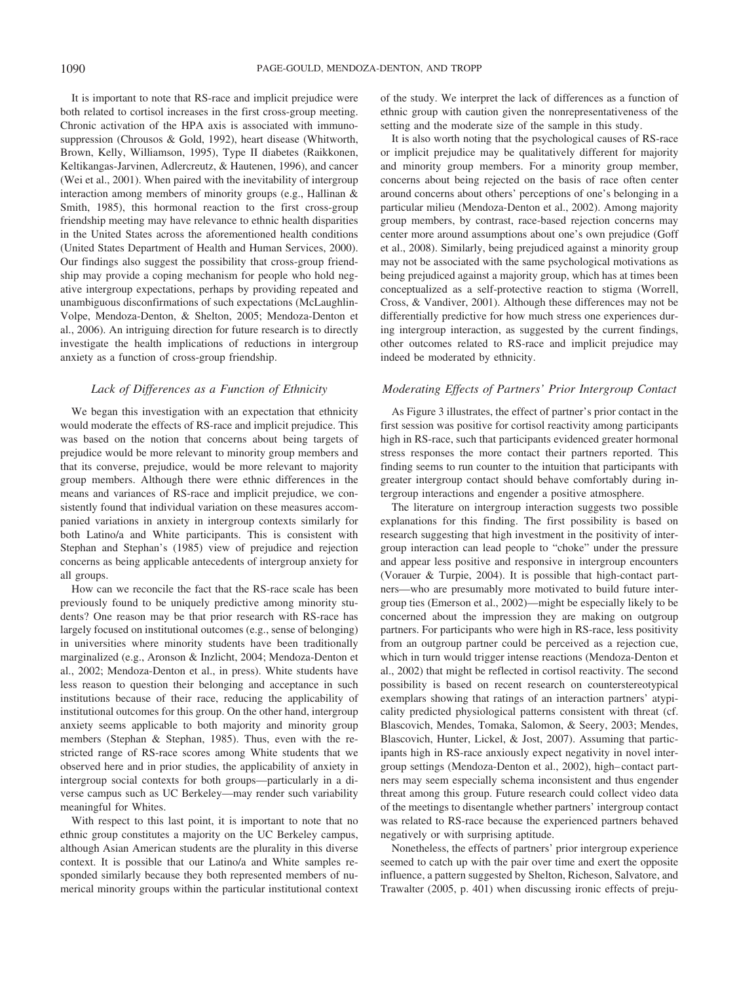It is important to note that RS-race and implicit prejudice were both related to cortisol increases in the first cross-group meeting. Chronic activation of the HPA axis is associated with immunosuppression (Chrousos & Gold, 1992), heart disease (Whitworth, Brown, Kelly, Williamson, 1995), Type II diabetes (Raikkonen, Keltikangas-Jarvinen, Adlercreutz, & Hautenen, 1996), and cancer (Wei et al., 2001). When paired with the inevitability of intergroup interaction among members of minority groups (e.g., Hallinan & Smith, 1985), this hormonal reaction to the first cross-group friendship meeting may have relevance to ethnic health disparities in the United States across the aforementioned health conditions (United States Department of Health and Human Services, 2000). Our findings also suggest the possibility that cross-group friendship may provide a coping mechanism for people who hold negative intergroup expectations, perhaps by providing repeated and unambiguous disconfirmations of such expectations (McLaughlin-Volpe, Mendoza-Denton, & Shelton, 2005; Mendoza-Denton et al., 2006). An intriguing direction for future research is to directly investigate the health implications of reductions in intergroup anxiety as a function of cross-group friendship.

## *Lack of Differences as a Function of Ethnicity*

We began this investigation with an expectation that ethnicity would moderate the effects of RS-race and implicit prejudice. This was based on the notion that concerns about being targets of prejudice would be more relevant to minority group members and that its converse, prejudice, would be more relevant to majority group members. Although there were ethnic differences in the means and variances of RS-race and implicit prejudice, we consistently found that individual variation on these measures accompanied variations in anxiety in intergroup contexts similarly for both Latino/a and White participants. This is consistent with Stephan and Stephan's (1985) view of prejudice and rejection concerns as being applicable antecedents of intergroup anxiety for all groups.

How can we reconcile the fact that the RS-race scale has been previously found to be uniquely predictive among minority students? One reason may be that prior research with RS-race has largely focused on institutional outcomes (e.g., sense of belonging) in universities where minority students have been traditionally marginalized (e.g., Aronson & Inzlicht, 2004; Mendoza-Denton et al., 2002; Mendoza-Denton et al., in press). White students have less reason to question their belonging and acceptance in such institutions because of their race, reducing the applicability of institutional outcomes for this group. On the other hand, intergroup anxiety seems applicable to both majority and minority group members (Stephan & Stephan, 1985). Thus, even with the restricted range of RS-race scores among White students that we observed here and in prior studies, the applicability of anxiety in intergroup social contexts for both groups—particularly in a diverse campus such as UC Berkeley—may render such variability meaningful for Whites.

With respect to this last point, it is important to note that no ethnic group constitutes a majority on the UC Berkeley campus, although Asian American students are the plurality in this diverse context. It is possible that our Latino/a and White samples responded similarly because they both represented members of numerical minority groups within the particular institutional context of the study. We interpret the lack of differences as a function of ethnic group with caution given the nonrepresentativeness of the setting and the moderate size of the sample in this study.

It is also worth noting that the psychological causes of RS-race or implicit prejudice may be qualitatively different for majority and minority group members. For a minority group member, concerns about being rejected on the basis of race often center around concerns about others' perceptions of one's belonging in a particular milieu (Mendoza-Denton et al., 2002). Among majority group members, by contrast, race-based rejection concerns may center more around assumptions about one's own prejudice (Goff et al., 2008). Similarly, being prejudiced against a minority group may not be associated with the same psychological motivations as being prejudiced against a majority group, which has at times been conceptualized as a self-protective reaction to stigma (Worrell, Cross, & Vandiver, 2001). Although these differences may not be differentially predictive for how much stress one experiences during intergroup interaction, as suggested by the current findings, other outcomes related to RS-race and implicit prejudice may indeed be moderated by ethnicity.

## *Moderating Effects of Partners' Prior Intergroup Contact*

As Figure 3 illustrates, the effect of partner's prior contact in the first session was positive for cortisol reactivity among participants high in RS-race, such that participants evidenced greater hormonal stress responses the more contact their partners reported. This finding seems to run counter to the intuition that participants with greater intergroup contact should behave comfortably during intergroup interactions and engender a positive atmosphere.

The literature on intergroup interaction suggests two possible explanations for this finding. The first possibility is based on research suggesting that high investment in the positivity of intergroup interaction can lead people to "choke" under the pressure and appear less positive and responsive in intergroup encounters (Vorauer & Turpie, 2004). It is possible that high-contact partners—who are presumably more motivated to build future intergroup ties (Emerson et al., 2002)—might be especially likely to be concerned about the impression they are making on outgroup partners. For participants who were high in RS-race, less positivity from an outgroup partner could be perceived as a rejection cue, which in turn would trigger intense reactions (Mendoza-Denton et al., 2002) that might be reflected in cortisol reactivity. The second possibility is based on recent research on counterstereotypical exemplars showing that ratings of an interaction partners' atypicality predicted physiological patterns consistent with threat (cf. Blascovich, Mendes, Tomaka, Salomon, & Seery, 2003; Mendes, Blascovich, Hunter, Lickel, & Jost, 2007). Assuming that participants high in RS-race anxiously expect negativity in novel intergroup settings (Mendoza-Denton et al., 2002), high–contact partners may seem especially schema inconsistent and thus engender threat among this group. Future research could collect video data of the meetings to disentangle whether partners' intergroup contact was related to RS-race because the experienced partners behaved negatively or with surprising aptitude.

Nonetheless, the effects of partners' prior intergroup experience seemed to catch up with the pair over time and exert the opposite influence, a pattern suggested by Shelton, Richeson, Salvatore, and Trawalter (2005, p. 401) when discussing ironic effects of preju-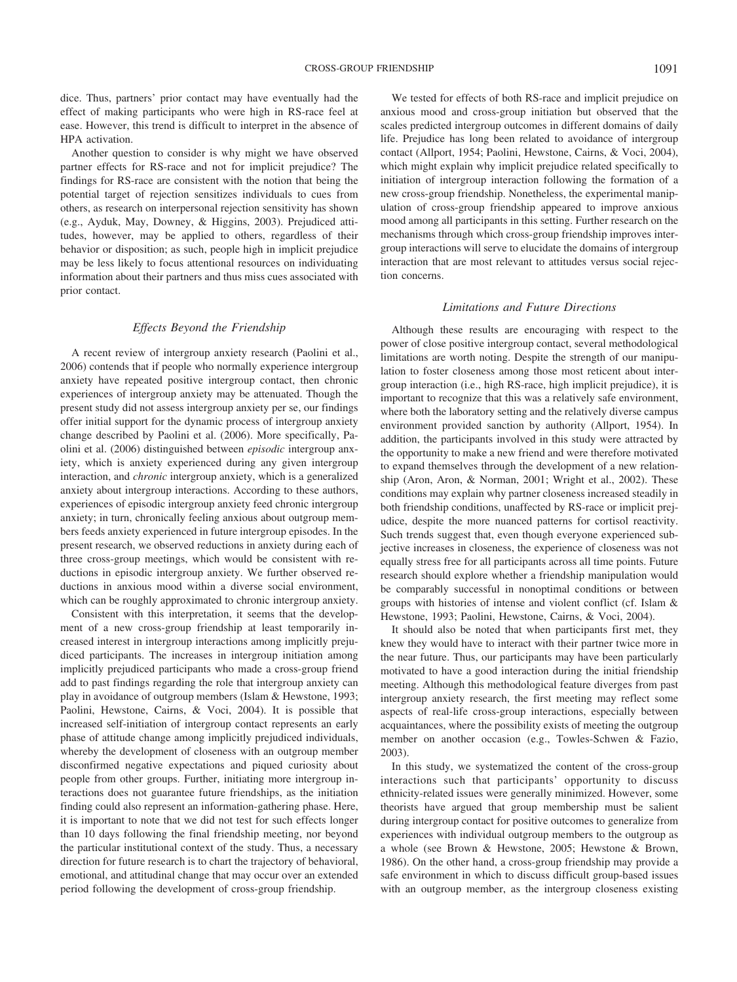dice. Thus, partners' prior contact may have eventually had the effect of making participants who were high in RS-race feel at ease. However, this trend is difficult to interpret in the absence of HPA activation.

Another question to consider is why might we have observed partner effects for RS-race and not for implicit prejudice? The findings for RS-race are consistent with the notion that being the potential target of rejection sensitizes individuals to cues from others, as research on interpersonal rejection sensitivity has shown (e.g., Ayduk, May, Downey, & Higgins, 2003). Prejudiced attitudes, however, may be applied to others, regardless of their behavior or disposition; as such, people high in implicit prejudice may be less likely to focus attentional resources on individuating information about their partners and thus miss cues associated with prior contact.

# *Effects Beyond the Friendship*

A recent review of intergroup anxiety research (Paolini et al., 2006) contends that if people who normally experience intergroup anxiety have repeated positive intergroup contact, then chronic experiences of intergroup anxiety may be attenuated. Though the present study did not assess intergroup anxiety per se, our findings offer initial support for the dynamic process of intergroup anxiety change described by Paolini et al. (2006). More specifically, Paolini et al. (2006) distinguished between *episodic* intergroup anxiety, which is anxiety experienced during any given intergroup interaction, and *chronic* intergroup anxiety, which is a generalized anxiety about intergroup interactions. According to these authors, experiences of episodic intergroup anxiety feed chronic intergroup anxiety; in turn, chronically feeling anxious about outgroup members feeds anxiety experienced in future intergroup episodes. In the present research, we observed reductions in anxiety during each of three cross-group meetings, which would be consistent with reductions in episodic intergroup anxiety. We further observed reductions in anxious mood within a diverse social environment, which can be roughly approximated to chronic intergroup anxiety.

Consistent with this interpretation, it seems that the development of a new cross-group friendship at least temporarily increased interest in intergroup interactions among implicitly prejudiced participants. The increases in intergroup initiation among implicitly prejudiced participants who made a cross-group friend add to past findings regarding the role that intergroup anxiety can play in avoidance of outgroup members (Islam & Hewstone, 1993; Paolini, Hewstone, Cairns, & Voci, 2004). It is possible that increased self-initiation of intergroup contact represents an early phase of attitude change among implicitly prejudiced individuals, whereby the development of closeness with an outgroup member disconfirmed negative expectations and piqued curiosity about people from other groups. Further, initiating more intergroup interactions does not guarantee future friendships, as the initiation finding could also represent an information-gathering phase. Here, it is important to note that we did not test for such effects longer than 10 days following the final friendship meeting, nor beyond the particular institutional context of the study. Thus, a necessary direction for future research is to chart the trajectory of behavioral, emotional, and attitudinal change that may occur over an extended period following the development of cross-group friendship.

We tested for effects of both RS-race and implicit prejudice on anxious mood and cross-group initiation but observed that the scales predicted intergroup outcomes in different domains of daily life. Prejudice has long been related to avoidance of intergroup contact (Allport, 1954; Paolini, Hewstone, Cairns, & Voci, 2004), which might explain why implicit prejudice related specifically to initiation of intergroup interaction following the formation of a new cross-group friendship. Nonetheless, the experimental manipulation of cross-group friendship appeared to improve anxious mood among all participants in this setting. Further research on the mechanisms through which cross-group friendship improves intergroup interactions will serve to elucidate the domains of intergroup interaction that are most relevant to attitudes versus social rejection concerns.

## *Limitations and Future Directions*

Although these results are encouraging with respect to the power of close positive intergroup contact, several methodological limitations are worth noting. Despite the strength of our manipulation to foster closeness among those most reticent about intergroup interaction (i.e., high RS-race, high implicit prejudice), it is important to recognize that this was a relatively safe environment, where both the laboratory setting and the relatively diverse campus environment provided sanction by authority (Allport, 1954). In addition, the participants involved in this study were attracted by the opportunity to make a new friend and were therefore motivated to expand themselves through the development of a new relationship (Aron, Aron, & Norman, 2001; Wright et al., 2002). These conditions may explain why partner closeness increased steadily in both friendship conditions, unaffected by RS-race or implicit prejudice, despite the more nuanced patterns for cortisol reactivity. Such trends suggest that, even though everyone experienced subjective increases in closeness, the experience of closeness was not equally stress free for all participants across all time points. Future research should explore whether a friendship manipulation would be comparably successful in nonoptimal conditions or between groups with histories of intense and violent conflict (cf. Islam & Hewstone, 1993; Paolini, Hewstone, Cairns, & Voci, 2004).

It should also be noted that when participants first met, they knew they would have to interact with their partner twice more in the near future. Thus, our participants may have been particularly motivated to have a good interaction during the initial friendship meeting. Although this methodological feature diverges from past intergroup anxiety research, the first meeting may reflect some aspects of real-life cross-group interactions, especially between acquaintances, where the possibility exists of meeting the outgroup member on another occasion (e.g., Towles-Schwen & Fazio, 2003).

In this study, we systematized the content of the cross-group interactions such that participants' opportunity to discuss ethnicity-related issues were generally minimized. However, some theorists have argued that group membership must be salient during intergroup contact for positive outcomes to generalize from experiences with individual outgroup members to the outgroup as a whole (see Brown & Hewstone, 2005; Hewstone & Brown, 1986). On the other hand, a cross-group friendship may provide a safe environment in which to discuss difficult group-based issues with an outgroup member, as the intergroup closeness existing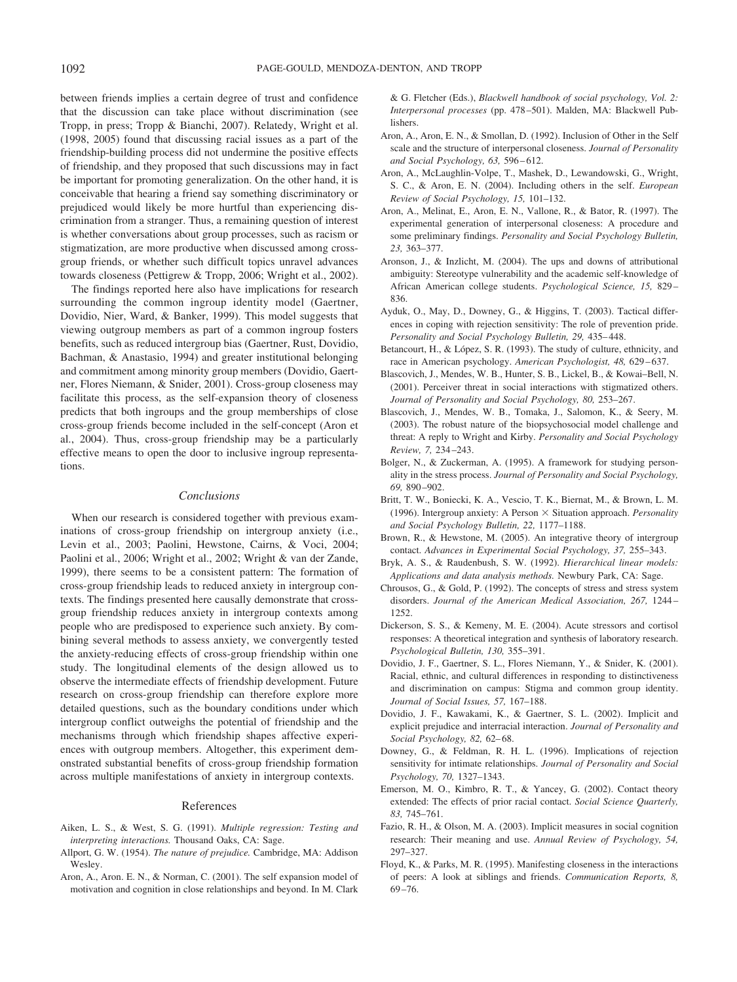between friends implies a certain degree of trust and confidence that the discussion can take place without discrimination (see Tropp, in press; Tropp & Bianchi, 2007). Relatedy, Wright et al. (1998, 2005) found that discussing racial issues as a part of the friendship-building process did not undermine the positive effects of friendship, and they proposed that such discussions may in fact be important for promoting generalization. On the other hand, it is conceivable that hearing a friend say something discriminatory or prejudiced would likely be more hurtful than experiencing discrimination from a stranger. Thus, a remaining question of interest is whether conversations about group processes, such as racism or stigmatization, are more productive when discussed among crossgroup friends, or whether such difficult topics unravel advances towards closeness (Pettigrew & Tropp, 2006; Wright et al., 2002).

The findings reported here also have implications for research surrounding the common ingroup identity model (Gaertner, Dovidio, Nier, Ward, & Banker, 1999). This model suggests that viewing outgroup members as part of a common ingroup fosters benefits, such as reduced intergroup bias (Gaertner, Rust, Dovidio, Bachman, & Anastasio, 1994) and greater institutional belonging and commitment among minority group members (Dovidio, Gaertner, Flores Niemann, & Snider, 2001). Cross-group closeness may facilitate this process, as the self-expansion theory of closeness predicts that both ingroups and the group memberships of close cross-group friends become included in the self-concept (Aron et al., 2004). Thus, cross-group friendship may be a particularly effective means to open the door to inclusive ingroup representations.

#### *Conclusions*

When our research is considered together with previous examinations of cross-group friendship on intergroup anxiety (i.e., Levin et al., 2003; Paolini, Hewstone, Cairns, & Voci, 2004; Paolini et al., 2006; Wright et al., 2002; Wright & van der Zande, 1999), there seems to be a consistent pattern: The formation of cross-group friendship leads to reduced anxiety in intergroup contexts. The findings presented here causally demonstrate that crossgroup friendship reduces anxiety in intergroup contexts among people who are predisposed to experience such anxiety. By combining several methods to assess anxiety, we convergently tested the anxiety-reducing effects of cross-group friendship within one study. The longitudinal elements of the design allowed us to observe the intermediate effects of friendship development. Future research on cross-group friendship can therefore explore more detailed questions, such as the boundary conditions under which intergroup conflict outweighs the potential of friendship and the mechanisms through which friendship shapes affective experiences with outgroup members. Altogether, this experiment demonstrated substantial benefits of cross-group friendship formation across multiple manifestations of anxiety in intergroup contexts.

## References

- Aiken, L. S., & West, S. G. (1991). *Multiple regression: Testing and interpreting interactions.* Thousand Oaks, CA: Sage.
- Allport, G. W. (1954). *The nature of prejudice.* Cambridge, MA: Addison Wesley.
- Aron, A., Aron. E. N., & Norman, C. (2001). The self expansion model of motivation and cognition in close relationships and beyond. In M. Clark

& G. Fletcher (Eds.), *Blackwell handbook of social psychology, Vol. 2: Interpersonal processes* (pp. 478–501). Malden, MA: Blackwell Publishers.

- Aron, A., Aron, E. N., & Smollan, D. (1992). Inclusion of Other in the Self scale and the structure of interpersonal closeness. *Journal of Personality and Social Psychology, 63,* 596–612.
- Aron, A., McLaughlin-Volpe, T., Mashek, D., Lewandowski, G., Wright, S. C., & Aron, E. N. (2004). Including others in the self. *European Review of Social Psychology, 15,* 101–132.
- Aron, A., Melinat, E., Aron, E. N., Vallone, R., & Bator, R. (1997). The experimental generation of interpersonal closeness: A procedure and some preliminary findings. *Personality and Social Psychology Bulletin, 23,* 363–377.
- Aronson, J., & Inzlicht, M. (2004). The ups and downs of attributional ambiguity: Stereotype vulnerability and the academic self-knowledge of African American college students. *Psychological Science, 15,* 829– 836.
- Ayduk, O., May, D., Downey, G., & Higgins, T. (2003). Tactical differences in coping with rejection sensitivity: The role of prevention pride. *Personality and Social Psychology Bulletin, 29,* 435–448.
- Betancourt, H., & López, S. R. (1993). The study of culture, ethnicity, and race in American psychology. *American Psychologist, 48,* 629–637.
- Blascovich, J., Mendes, W. B., Hunter, S. B., Lickel, B., & Kowai–Bell, N. (2001). Perceiver threat in social interactions with stigmatized others. *Journal of Personality and Social Psychology, 80,* 253–267.
- Blascovich, J., Mendes, W. B., Tomaka, J., Salomon, K., & Seery, M. (2003). The robust nature of the biopsychosocial model challenge and threat: A reply to Wright and Kirby. *Personality and Social Psychology Review, 7,* 234–243.
- Bolger, N., & Zuckerman, A. (1995). A framework for studying personality in the stress process. *Journal of Personality and Social Psychology, 69,* 890–902.
- Britt, T. W., Boniecki, K. A., Vescio, T. K., Biernat, M., & Brown, L. M. (1996). Intergroup anxiety: A Person  $\times$  Situation approach. *Personality and Social Psychology Bulletin, 22,* 1177–1188.
- Brown, R., & Hewstone, M. (2005). An integrative theory of intergroup contact. *Advances in Experimental Social Psychology, 37,* 255–343.
- Bryk, A. S., & Raudenbush, S. W. (1992). *Hierarchical linear models: Applications and data analysis methods.* Newbury Park, CA: Sage.
- Chrousos, G., & Gold, P. (1992). The concepts of stress and stress system disorders. *Journal of the American Medical Association, 267,* 1244– 1252.
- Dickerson, S. S., & Kemeny, M. E. (2004). Acute stressors and cortisol responses: A theoretical integration and synthesis of laboratory research. *Psychological Bulletin, 130,* 355–391.
- Dovidio, J. F., Gaertner, S. L., Flores Niemann, Y., & Snider, K. (2001). Racial, ethnic, and cultural differences in responding to distinctiveness and discrimination on campus: Stigma and common group identity. *Journal of Social Issues, 57,* 167–188.
- Dovidio, J. F., Kawakami, K., & Gaertner, S. L. (2002). Implicit and explicit prejudice and interracial interaction. *Journal of Personality and Social Psychology, 82,* 62–68.
- Downey, G., & Feldman, R. H. L. (1996). Implications of rejection sensitivity for intimate relationships. *Journal of Personality and Social Psychology, 70,* 1327–1343.
- Emerson, M. O., Kimbro, R. T., & Yancey, G. (2002). Contact theory extended: The effects of prior racial contact. *Social Science Quarterly, 83,* 745–761.
- Fazio, R. H., & Olson, M. A. (2003). Implicit measures in social cognition research: Their meaning and use. *Annual Review of Psychology, 54,* 297–327.
- Floyd, K., & Parks, M. R. (1995). Manifesting closeness in the interactions of peers: A look at siblings and friends. *Communication Reports, 8,* 69–76.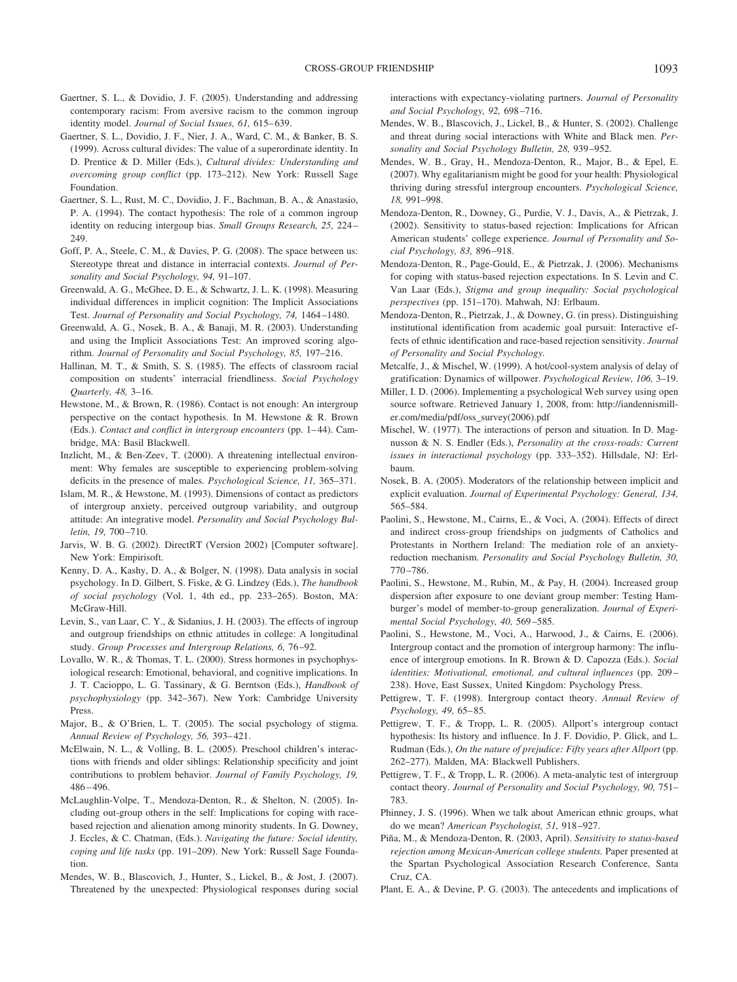- Gaertner, S. L., & Dovidio, J. F. (2005). Understanding and addressing contemporary racism: From aversive racism to the common ingroup identity model. *Journal of Social Issues, 61,* 615–639.
- Gaertner, S. L., Dovidio, J. F., Nier, J. A., Ward, C. M., & Banker, B. S. (1999). Across cultural divides: The value of a superordinate identity. In D. Prentice & D. Miller (Eds.), *Cultural divides: Understanding and overcoming group conflict* (pp. 173–212). New York: Russell Sage Foundation.
- Gaertner, S. L., Rust, M. C., Dovidio, J. F., Bachman, B. A., & Anastasio, P. A. (1994). The contact hypothesis: The role of a common ingroup identity on reducing intergoup bias. *Small Groups Research, 25,* 224– 249.
- Goff, P. A., Steele, C. M., & Davies, P. G. (2008). The space between us: Stereotype threat and distance in interracial contexts. *Journal of Personality and Social Psychology, 94,* 91–107.
- Greenwald, A. G., McGhee, D. E., & Schwartz, J. L. K. (1998). Measuring individual differences in implicit cognition: The Implicit Associations Test. *Journal of Personality and Social Psychology, 74,* 1464–1480.
- Greenwald, A. G., Nosek, B. A., & Banaji, M. R. (2003). Understanding and using the Implicit Associations Test: An improved scoring algorithm. *Journal of Personality and Social Psychology, 85,* 197–216.
- Hallinan, M. T., & Smith, S. S. (1985). The effects of classroom racial composition on students' interracial friendliness. *Social Psychology Quarterly, 48,* 3–16.
- Hewstone, M., & Brown, R. (1986). Contact is not enough: An intergroup perspective on the contact hypothesis. In M. Hewstone & R. Brown (Eds.). *Contact and conflict in intergroup encounters* (pp. 1–44). Cambridge, MA: Basil Blackwell.
- Inzlicht, M., & Ben-Zeev, T. (2000). A threatening intellectual environment: Why females are susceptible to experiencing problem-solving deficits in the presence of males. *Psychological Science, 11,* 365–371.
- Islam, M. R., & Hewstone, M. (1993). Dimensions of contact as predictors of intergroup anxiety, perceived outgroup variability, and outgroup attitude: An integrative model. *Personality and Social Psychology Bulletin, 19,* 700–710.
- Jarvis, W. B. G. (2002). DirectRT (Version 2002) [Computer software]. New York: Empirisoft.
- Kenny, D. A., Kashy, D. A., & Bolger, N. (1998). Data analysis in social psychology. In D. Gilbert, S. Fiske, & G. Lindzey (Eds.), *The handbook of social psychology* (Vol. 1, 4th ed., pp. 233–265). Boston, MA: McGraw-Hill.
- Levin, S., van Laar, C. Y., & Sidanius, J. H. (2003). The effects of ingroup and outgroup friendships on ethnic attitudes in college: A longitudinal study. *Group Processes and Intergroup Relations, 6,* 76–92.
- Lovallo, W. R., & Thomas, T. L. (2000). Stress hormones in psychophysiological research: Emotional, behavioral, and cognitive implications. In J. T. Cacioppo, L. G. Tassinary, & G. Berntson (Eds.), *Handbook of psychophysiology* (pp. 342–367). New York: Cambridge University Press.
- Major, B., & O'Brien, L. T. (2005). The social psychology of stigma. *Annual Review of Psychology, 56,* 393–421.
- McElwain, N. L., & Volling, B. L. (2005). Preschool children's interactions with friends and older siblings: Relationship specificity and joint contributions to problem behavior. *Journal of Family Psychology, 19,* 486–496.
- McLaughlin-Volpe, T., Mendoza-Denton, R., & Shelton, N. (2005). Including out-group others in the self: Implications for coping with racebased rejection and alienation among minority students. In G. Downey, J. Eccles, & C. Chatman, (Eds.). *Navigating the future: Social identity, coping and life tasks* (pp. 191–209). New York: Russell Sage Foundation.
- Mendes, W. B., Blascovich, J., Hunter, S., Lickel, B., & Jost, J. (2007). Threatened by the unexpected: Physiological responses during social

interactions with expectancy-violating partners. *Journal of Personality and Social Psychology, 92,* 698–716.

- Mendes, W. B., Blascovich, J., Lickel, B., & Hunter, S. (2002). Challenge and threat during social interactions with White and Black men. *Personality and Social Psychology Bulletin, 28,* 939–952.
- Mendes, W. B., Gray, H., Mendoza-Denton, R., Major, B., & Epel, E. (2007). Why egalitarianism might be good for your health: Physiological thriving during stressful intergroup encounters. *Psychological Science, 18,* 991–998.
- Mendoza-Denton, R., Downey, G., Purdie, V. J., Davis, A., & Pietrzak, J. (2002). Sensitivity to status-based rejection: Implications for African American students' college experience. *Journal of Personality and Social Psychology, 83,* 896–918.
- Mendoza-Denton, R., Page-Gould, E., & Pietrzak, J. (2006). Mechanisms for coping with status-based rejection expectations. In S. Levin and C. Van Laar (Eds.), *Stigma and group inequality: Social psychological perspectives* (pp. 151–170). Mahwah, NJ: Erlbaum.
- Mendoza-Denton, R., Pietrzak, J., & Downey, G. (in press). Distinguishing institutional identification from academic goal pursuit: Interactive effects of ethnic identification and race-based rejection sensitivity. *Journal of Personality and Social Psychology.*
- Metcalfe, J., & Mischel, W. (1999). A hot/cool-system analysis of delay of gratification: Dynamics of willpower. *Psychological Review, 106,* 3–19.
- Miller, I. D. (2006). Implementing a psychological Web survey using open source software. Retrieved January 1, 2008, from: http://iandennismiller.com/media/pdf/oss\_survey(2006).pdf
- Mischel, W. (1977). The interactions of person and situation. In D. Magnusson & N. S. Endler (Eds.), *Personality at the cross-roads: Current issues in interactional psychology* (pp. 333–352). Hillsdale, NJ: Erlbaum.
- Nosek, B. A. (2005). Moderators of the relationship between implicit and explicit evaluation. *Journal of Experimental Psychology: General, 134,* 565–584.
- Paolini, S., Hewstone, M., Cairns, E., & Voci, A. (2004). Effects of direct and indirect cross-group friendships on judgments of Catholics and Protestants in Northern Ireland: The mediation role of an anxietyreduction mechanism. *Personality and Social Psychology Bulletin, 30,* 770–786.
- Paolini, S., Hewstone, M., Rubin, M., & Pay, H. (2004). Increased group dispersion after exposure to one deviant group member: Testing Hamburger's model of member-to-group generalization. *Journal of Experimental Social Psychology, 40,* 569–585.
- Paolini, S., Hewstone, M., Voci, A., Harwood, J., & Cairns, E. (2006). Intergroup contact and the promotion of intergroup harmony: The influence of intergroup emotions. In R. Brown & D. Capozza (Eds.). *Social identities: Motivational, emotional, and cultural influences* (pp. 209– 238). Hove, East Sussex, United Kingdom: Psychology Press.
- Pettigrew, T. F. (1998). Intergroup contact theory. *Annual Review of Psychology, 49,* 65–85.
- Pettigrew, T. F., & Tropp, L. R. (2005). Allport's intergroup contact hypothesis: Its history and influence. In J. F. Dovidio, P. Glick, and L. Rudman (Eds.), *On the nature of prejudice: Fifty years after Allport* (pp. 262–277). Malden, MA: Blackwell Publishers.
- Pettigrew, T. F., & Tropp, L. R. (2006). A meta-analytic test of intergroup contact theory. *Journal of Personality and Social Psychology, 90,* 751– 783.
- Phinney, J. S. (1996). When we talk about American ethnic groups, what do we mean? *American Psychologist, 51,* 918–927.
- Piña, M., & Mendoza-Denton, R. (2003, April). *Sensitivity to status-based rejection among Mexican-American college students.* Paper presented at the Spartan Psychological Association Research Conference, Santa Cruz, CA.
- Plant, E. A., & Devine, P. G. (2003). The antecedents and implications of